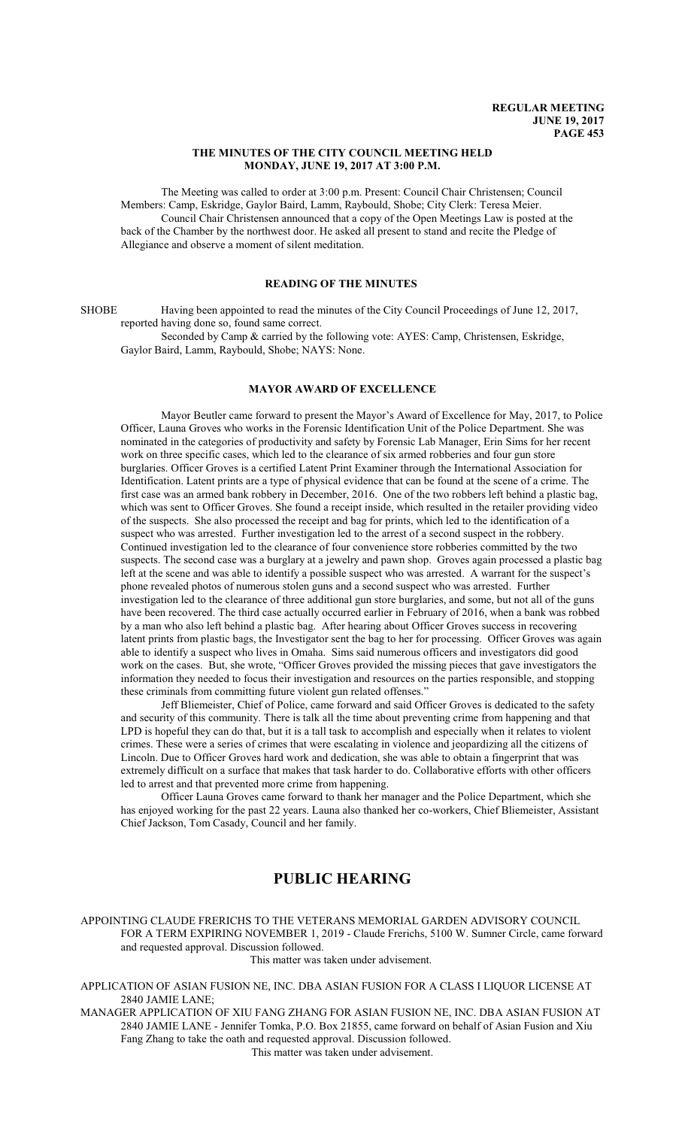#### **THE MINUTES OF THE CITY COUNCIL MEETING HELD MONDAY, JUNE 19, 2017 AT 3:00 P.M.**

The Meeting was called to order at 3:00 p.m. Present: Council Chair Christensen; Council Members: Camp, Eskridge, Gaylor Baird, Lamm, Raybould, Shobe; City Clerk: Teresa Meier. Council Chair Christensen announced that a copy of the Open Meetings Law is posted at the back of the Chamber by the northwest door. He asked all present to stand and recite the Pledge of Allegiance and observe a moment of silent meditation.

## **READING OF THE MINUTES**

SHOBE Having been appointed to read the minutes of the City Council Proceedings of June 12, 2017, reported having done so, found same correct.

Seconded by Camp & carried by the following vote: AYES: Camp, Christensen, Eskridge, Gaylor Baird, Lamm, Raybould, Shobe; NAYS: None.

#### **MAYOR AWARD OF EXCELLENCE**

Mayor Beutler came forward to present the Mayor's Award of Excellence for May, 2017, to Police Officer, Launa Groves who works in the Forensic Identification Unit of the Police Department. She was nominated in the categories of productivity and safety by Forensic Lab Manager, Erin Sims for her recent work on three specific cases, which led to the clearance of six armed robberies and four gun store burglaries. Officer Groves is a certified Latent Print Examiner through the International Association for Identification. Latent prints are a type of physical evidence that can be found at the scene of a crime. The first case was an armed bank robbery in December, 2016. One of the two robbers left behind a plastic bag, which was sent to Officer Groves. She found a receipt inside, which resulted in the retailer providing video of the suspects. She also processed the receipt and bag for prints, which led to the identification of a suspect who was arrested. Further investigation led to the arrest of a second suspect in the robbery. Continued investigation led to the clearance of four convenience store robberies committed by the two suspects. The second case was a burglary at a jewelry and pawn shop. Groves again processed a plastic bag left at the scene and was able to identify a possible suspect who was arrested. A warrant for the suspect's phone revealed photos of numerous stolen guns and a second suspect who was arrested. Further investigation led to the clearance of three additional gun store burglaries, and some, but not all of the guns have been recovered. The third case actually occurred earlier in February of 2016, when a bank was robbed by a man who also left behind a plastic bag. After hearing about Officer Groves success in recovering latent prints from plastic bags, the Investigator sent the bag to her for processing. Officer Groves was again able to identify a suspect who lives in Omaha. Sims said numerous officers and investigators did good work on the cases. But, she wrote, "Officer Groves provided the missing pieces that gave investigators the information they needed to focus their investigation and resources on the parties responsible, and stopping these criminals from committing future violent gun related offenses."

Jeff Bliemeister, Chief of Police, came forward and said Officer Groves is dedicated to the safety and security of this community. There is talk all the time about preventing crime from happening and that LPD is hopeful they can do that, but it is a tall task to accomplish and especially when it relates to violent crimes. These were a series of crimes that were escalating in violence and jeopardizing all the citizens of Lincoln. Due to Officer Groves hard work and dedication, she was able to obtain a fingerprint that was extremely difficult on a surface that makes that task harder to do. Collaborative efforts with other officers led to arrest and that prevented more crime from happening.

Officer Launa Groves came forward to thank her manager and the Police Department, which she has enjoyed working for the past 22 years. Launa also thanked her co-workers, Chief Bliemeister, Assistant Chief Jackson, Tom Casady, Council and her family.

# **PUBLIC HEARING**

APPOINTING CLAUDE FRERICHS TO THE VETERANS MEMORIAL GARDEN ADVISORY COUNCIL FOR A TERM EXPIRING NOVEMBER 1, 2019 - Claude Frerichs, 5100 W. Sumner Circle, came forward and requested approval. Discussion followed.

This matter was taken under advisement.

APPLICATION OF ASIAN FUSION NE, INC. DBA ASIAN FUSION FOR A CLASS I LIQUOR LICENSE AT 2840 JAMIE LANE;

MANAGER APPLICATION OF XIU FANG ZHANG FOR ASIAN FUSION NE, INC. DBA ASIAN FUSION AT 2840 JAMIE LANE - Jennifer Tomka, P.O. Box 21855, came forward on behalf of Asian Fusion and Xiu Fang Zhang to take the oath and requested approval. Discussion followed. This matter was taken under advisement.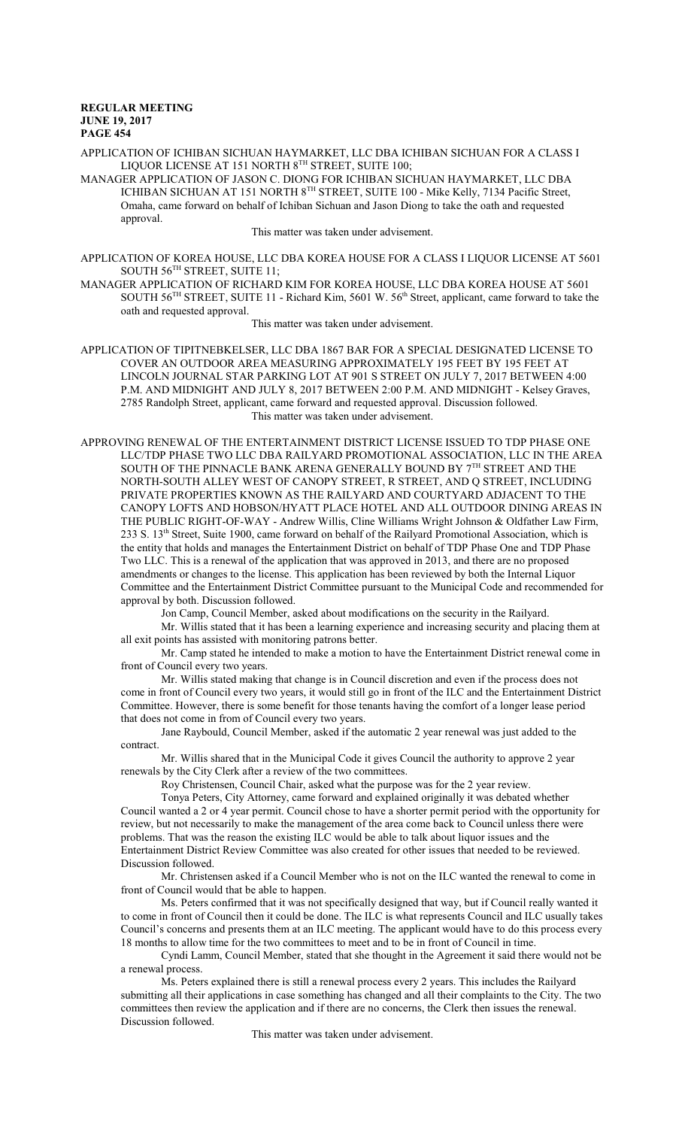APPLICATION OF ICHIBAN SICHUAN HAYMARKET, LLC DBA ICHIBAN SICHUAN FOR A CLASS I LIQUOR LICENSE AT 151 NORTH 8TH STREET, SUITE 100;

MANAGER APPLICATION OF JASON C. DIONG FOR ICHIBAN SICHUAN HAYMARKET, LLC DBA ICHIBAN SICHUAN AT 151 NORTH 8<sup>th</sup> STREET, SUITE 100 - Mike Kelly, 7134 Pacific Street, Omaha, came forward on behalf of Ichiban Sichuan and Jason Diong to take the oath and requested approval.

This matter was taken under advisement.

APPLICATION OF KOREA HOUSE, LLC DBA KOREA HOUSE FOR A CLASS I LIQUOR LICENSE AT 5601  $\mathop{\rm SOUTH}\nolimits\,56^{\rm TH}\mathop{\rm STREET}\nolimits,$   $\mathop{\rm SUITE}\nolimits\,11;$ 

MANAGER APPLICATION OF RICHARD KIM FOR KOREA HOUSE, LLC DBA KOREA HOUSE AT 5601 SOUTH 56<sup>TH</sup> STREET, SUITE 11 - Richard Kim, 5601 W. 56<sup>th</sup> Street, applicant, came forward to take the oath and requested approval.

This matter was taken under advisement.

APPLICATION OF TIPITNEBKELSER, LLC DBA 1867 BAR FOR A SPECIAL DESIGNATED LICENSE TO COVER AN OUTDOOR AREA MEASURING APPROXIMATELY 195 FEET BY 195 FEET AT LINCOLN JOURNAL STAR PARKING LOT AT 901 S STREET ON JULY 7, 2017 BETWEEN 4:00 P.M. AND MIDNIGHT AND JULY 8, 2017 BETWEEN 2:00 P.M. AND MIDNIGHT - Kelsey Graves, 2785 Randolph Street, applicant, came forward and requested approval. Discussion followed. This matter was taken under advisement.

APPROVING RENEWAL OF THE ENTERTAINMENT DISTRICT LICENSE ISSUED TO TDP PHASE ONE LLC/TDP PHASE TWO LLC DBA RAILYARD PROMOTIONAL ASSOCIATION, LLC IN THE AREA SOUTH OF THE PINNACLE BANK ARENA GENERALLY BOUND BY  $7^{\rm{TH}}$  STREET AND THE NORTH-SOUTH ALLEY WEST OF CANOPY STREET, R STREET, AND Q STREET, INCLUDING PRIVATE PROPERTIES KNOWN AS THE RAILYARD AND COURTYARD ADJACENT TO THE CANOPY LOFTS AND HOBSON/HYATT PLACE HOTEL AND ALL OUTDOOR DINING AREAS IN THE PUBLIC RIGHT-OF-WAY - Andrew Willis, Cline Williams Wright Johnson & Oldfather Law Firm, 233 S. 13<sup>th</sup> Street, Suite 1900, came forward on behalf of the Railyard Promotional Association, which is the entity that holds and manages the Entertainment District on behalf of TDP Phase One and TDP Phase Two LLC. This is a renewal of the application that was approved in 2013, and there are no proposed amendments or changes to the license. This application has been reviewed by both the Internal Liquor Committee and the Entertainment District Committee pursuant to the Municipal Code and recommended for approval by both. Discussion followed.

Jon Camp, Council Member, asked about modifications on the security in the Railyard.

Mr. Willis stated that it has been a learning experience and increasing security and placing them at all exit points has assisted with monitoring patrons better.

Mr. Camp stated he intended to make a motion to have the Entertainment District renewal come in front of Council every two years.

Mr. Willis stated making that change is in Council discretion and even if the process does not come in front of Council every two years, it would still go in front of the ILC and the Entertainment District Committee. However, there is some benefit for those tenants having the comfort of a longer lease period that does not come in from of Council every two years.

Jane Raybould, Council Member, asked if the automatic 2 year renewal was just added to the contract.

Mr. Willis shared that in the Municipal Code it gives Council the authority to approve 2 year renewals by the City Clerk after a review of the two committees.

Roy Christensen, Council Chair, asked what the purpose was for the 2 year review.

Tonya Peters, City Attorney, came forward and explained originally it was debated whether Council wanted a 2 or 4 year permit. Council chose to have a shorter permit period with the opportunity for review, but not necessarily to make the management of the area come back to Council unless there were problems. That was the reason the existing ILC would be able to talk about liquor issues and the Entertainment District Review Committee was also created for other issues that needed to be reviewed. Discussion followed.

Mr. Christensen asked if a Council Member who is not on the ILC wanted the renewal to come in front of Council would that be able to happen.

Ms. Peters confirmed that it was not specifically designed that way, but if Council really wanted it to come in front of Council then it could be done. The ILC is what represents Council and ILC usually takes Council's concerns and presents them at an ILC meeting. The applicant would have to do this process every 18 months to allow time for the two committees to meet and to be in front of Council in time.

Cyndi Lamm, Council Member, stated that she thought in the Agreement it said there would not be a renewal process.

Ms. Peters explained there is still a renewal process every 2 years. This includes the Railyard submitting all their applications in case something has changed and all their complaints to the City. The two committees then review the application and if there are no concerns, the Clerk then issues the renewal. Discussion followed.

This matter was taken under advisement.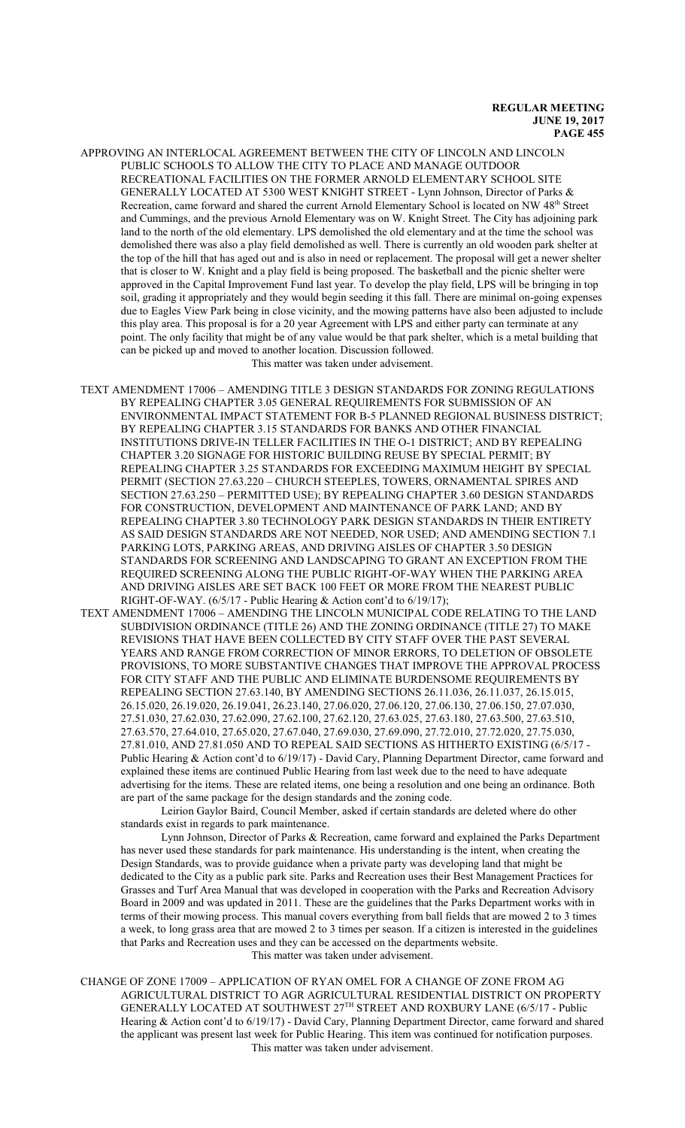- APPROVING AN INTERLOCAL AGREEMENT BETWEEN THE CITY OF LINCOLN AND LINCOLN PUBLIC SCHOOLS TO ALLOW THE CITY TO PLACE AND MANAGE OUTDOOR RECREATIONAL FACILITIES ON THE FORMER ARNOLD ELEMENTARY SCHOOL SITE GENERALLY LOCATED AT 5300 WEST KNIGHT STREET - Lynn Johnson, Director of Parks & Recreation, came forward and shared the current Arnold Elementary School is located on NW 48<sup>th</sup> Street and Cummings, and the previous Arnold Elementary was on W. Knight Street. The City has adjoining park land to the north of the old elementary. LPS demolished the old elementary and at the time the school was demolished there was also a play field demolished as well. There is currently an old wooden park shelter at the top of the hill that has aged out and is also in need or replacement. The proposal will get a newer shelter that is closer to W. Knight and a play field is being proposed. The basketball and the picnic shelter were approved in the Capital Improvement Fund last year. To develop the play field, LPS will be bringing in top soil, grading it appropriately and they would begin seeding it this fall. There are minimal on-going expenses due to Eagles View Park being in close vicinity, and the mowing patterns have also been adjusted to include this play area. This proposal is for a 20 year Agreement with LPS and either party can terminate at any point. The only facility that might be of any value would be that park shelter, which is a metal building that can be picked up and moved to another location. Discussion followed. This matter was taken under advisement.
- TEXT AMENDMENT 17006 AMENDING TITLE 3 DESIGN STANDARDS FOR ZONING REGULATIONS BY REPEALING CHAPTER 3.05 GENERAL REQUIREMENTS FOR SUBMISSION OF AN ENVIRONMENTAL IMPACT STATEMENT FOR B-5 PLANNED REGIONAL BUSINESS DISTRICT; BY REPEALING CHAPTER 3.15 STANDARDS FOR BANKS AND OTHER FINANCIAL INSTITUTIONS DRIVE-IN TELLER FACILITIES IN THE O-1 DISTRICT; AND BY REPEALING CHAPTER 3.20 SIGNAGE FOR HISTORIC BUILDING REUSE BY SPECIAL PERMIT; BY REPEALING CHAPTER 3.25 STANDARDS FOR EXCEEDING MAXIMUM HEIGHT BY SPECIAL PERMIT (SECTION 27.63.220 – CHURCH STEEPLES, TOWERS, ORNAMENTAL SPIRES AND SECTION 27.63.250 – PERMITTED USE); BY REPEALING CHAPTER 3.60 DESIGN STANDARDS FOR CONSTRUCTION, DEVELOPMENT AND MAINTENANCE OF PARK LAND; AND BY REPEALING CHAPTER 3.80 TECHNOLOGY PARK DESIGN STANDARDS IN THEIR ENTIRETY AS SAID DESIGN STANDARDS ARE NOT NEEDED, NOR USED; AND AMENDING SECTION 7.1 PARKING LOTS, PARKING AREAS, AND DRIVING AISLES OF CHAPTER 3.50 DESIGN STANDARDS FOR SCREENING AND LANDSCAPING TO GRANT AN EXCEPTION FROM THE REQUIRED SCREENING ALONG THE PUBLIC RIGHT-OF-WAY WHEN THE PARKING AREA AND DRIVING AISLES ARE SET BACK 100 FEET OR MORE FROM THE NEAREST PUBLIC RIGHT-OF-WAY. (6/5/17 - Public Hearing & Action cont'd to 6/19/17);
- TEXT AMENDMENT 17006 AMENDING THE LINCOLN MUNICIPAL CODE RELATING TO THE LAND SUBDIVISION ORDINANCE (TITLE 26) AND THE ZONING ORDINANCE (TITLE 27) TO MAKE REVISIONS THAT HAVE BEEN COLLECTED BY CITY STAFF OVER THE PAST SEVERAL YEARS AND RANGE FROM CORRECTION OF MINOR ERRORS, TO DELETION OF OBSOLETE PROVISIONS, TO MORE SUBSTANTIVE CHANGES THAT IMPROVE THE APPROVAL PROCESS FOR CITY STAFF AND THE PUBLIC AND ELIMINATE BURDENSOME REQUIREMENTS BY REPEALING SECTION 27.63.140, BY AMENDING SECTIONS 26.11.036, 26.11.037, 26.15.015, 26.15.020, 26.19.020, 26.19.041, 26.23.140, 27.06.020, 27.06.120, 27.06.130, 27.06.150, 27.07.030, 27.51.030, 27.62.030, 27.62.090, 27.62.100, 27.62.120, 27.63.025, 27.63.180, 27.63.500, 27.63.510, 27.63.570, 27.64.010, 27.65.020, 27.67.040, 27.69.030, 27.69.090, 27.72.010, 27.72.020, 27.75.030, 27.81.010, AND 27.81.050 AND TO REPEAL SAID SECTIONS AS HITHERTO EXISTING (6/5/17 - Public Hearing & Action cont'd to 6/19/17) - David Cary, Planning Department Director, came forward and explained these items are continued Public Hearing from last week due to the need to have adequate advertising for the items. These are related items, one being a resolution and one being an ordinance. Both are part of the same package for the design standards and the zoning code.

Leirion Gaylor Baird, Council Member, asked if certain standards are deleted where do other standards exist in regards to park maintenance.

Lynn Johnson, Director of Parks & Recreation, came forward and explained the Parks Department has never used these standards for park maintenance. His understanding is the intent, when creating the Design Standards, was to provide guidance when a private party was developing land that might be dedicated to the City as a public park site. Parks and Recreation uses their Best Management Practices for Grasses and Turf Area Manual that was developed in cooperation with the Parks and Recreation Advisory Board in 2009 and was updated in 2011. These are the guidelines that the Parks Department works with in terms of their mowing process. This manual covers everything from ball fields that are mowed 2 to 3 times a week, to long grass area that are mowed 2 to 3 times per season. If a citizen is interested in the guidelines that Parks and Recreation uses and they can be accessed on the departments website. This matter was taken under advisement.

CHANGE OF ZONE 17009 – APPLICATION OF RYAN OMEL FOR A CHANGE OF ZONE FROM AG AGRICULTURAL DISTRICT TO AGR AGRICULTURAL RESIDENTIAL DISTRICT ON PROPERTY GENERALLY LOCATED AT SOUTHWEST 27<sup>TH</sup> STREET AND ROXBURY LANE (6/5/17 - Public Hearing & Action cont'd to 6/19/17) - David Cary, Planning Department Director, came forward and shared the applicant was present last week for Public Hearing. This item was continued for notification purposes. This matter was taken under advisement.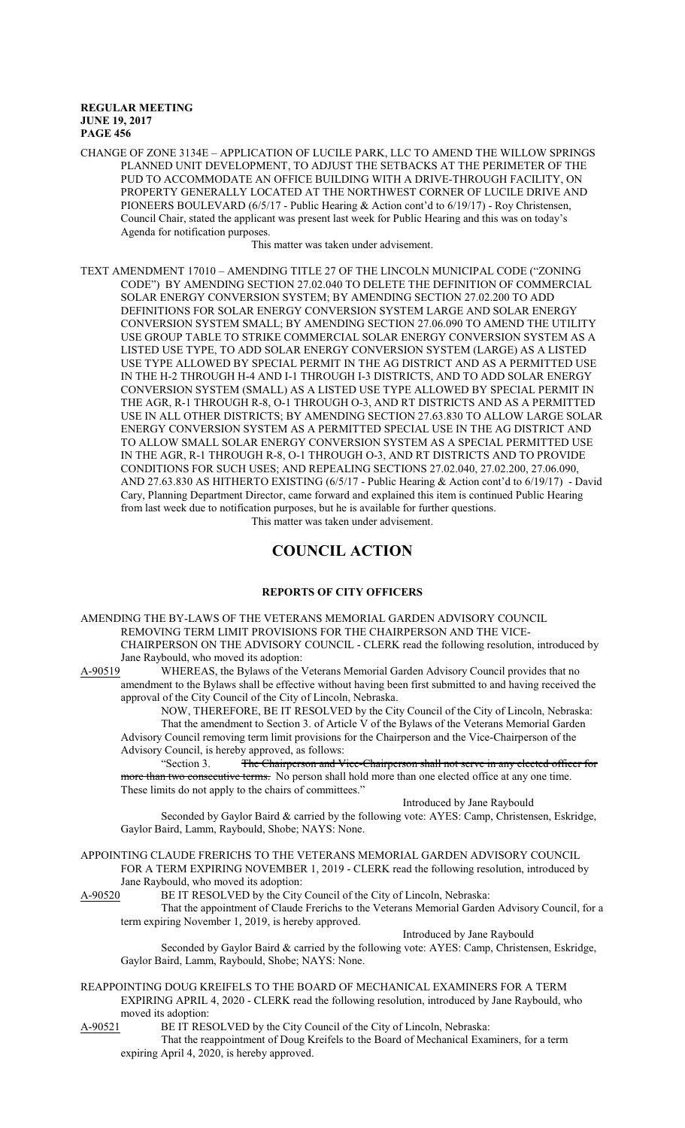CHANGE OF ZONE 3134E – APPLICATION OF LUCILE PARK, LLC TO AMEND THE WILLOW SPRINGS PLANNED UNIT DEVELOPMENT, TO ADJUST THE SETBACKS AT THE PERIMETER OF THE PUD TO ACCOMMODATE AN OFFICE BUILDING WITH A DRIVE-THROUGH FACILITY, ON PROPERTY GENERALLY LOCATED AT THE NORTHWEST CORNER OF LUCILE DRIVE AND PIONEERS BOULEVARD (6/5/17 - Public Hearing & Action cont'd to 6/19/17) - Roy Christensen, Council Chair, stated the applicant was present last week for Public Hearing and this was on today's Agenda for notification purposes.

This matter was taken under advisement.

TEXT AMENDMENT 17010 – AMENDING TITLE 27 OF THE LINCOLN MUNICIPAL CODE ("ZONING CODE") BY AMENDING SECTION 27.02.040 TO DELETE THE DEFINITION OF COMMERCIAL SOLAR ENERGY CONVERSION SYSTEM; BY AMENDING SECTION 27.02.200 TO ADD DEFINITIONS FOR SOLAR ENERGY CONVERSION SYSTEM LARGE AND SOLAR ENERGY CONVERSION SYSTEM SMALL; BY AMENDING SECTION 27.06.090 TO AMEND THE UTILITY USE GROUP TABLE TO STRIKE COMMERCIAL SOLAR ENERGY CONVERSION SYSTEM AS A LISTED USE TYPE, TO ADD SOLAR ENERGY CONVERSION SYSTEM (LARGE) AS A LISTED USE TYPE ALLOWED BY SPECIAL PERMIT IN THE AG DISTRICT AND AS A PERMITTED USE IN THE H-2 THROUGH H-4 AND I-1 THROUGH I-3 DISTRICTS, AND TO ADD SOLAR ENERGY CONVERSION SYSTEM (SMALL) AS A LISTED USE TYPE ALLOWED BY SPECIAL PERMIT IN THE AGR, R-1 THROUGH R-8, O-1 THROUGH O-3, AND RT DISTRICTS AND AS A PERMITTED USE IN ALL OTHER DISTRICTS; BY AMENDING SECTION 27.63.830 TO ALLOW LARGE SOLAR ENERGY CONVERSION SYSTEM AS A PERMITTED SPECIAL USE IN THE AG DISTRICT AND TO ALLOW SMALL SOLAR ENERGY CONVERSION SYSTEM AS A SPECIAL PERMITTED USE IN THE AGR, R-1 THROUGH R-8, O-1 THROUGH O-3, AND RT DISTRICTS AND TO PROVIDE CONDITIONS FOR SUCH USES; AND REPEALING SECTIONS 27.02.040, 27.02.200, 27.06.090, AND 27.63.830 AS HITHERTO EXISTING (6/5/17 - Public Hearing & Action cont'd to 6/19/17) - David Cary, Planning Department Director, came forward and explained this item is continued Public Hearing from last week due to notification purposes, but he is available for further questions. This matter was taken under advisement.

## **COUNCIL ACTION**

## **REPORTS OF CITY OFFICERS**

AMENDING THE BY-LAWS OF THE VETERANS MEMORIAL GARDEN ADVISORY COUNCIL REMOVING TERM LIMIT PROVISIONS FOR THE CHAIRPERSON AND THE VICE-CHAIRPERSON ON THE ADVISORY COUNCIL - CLERK read the following resolution, introduced by Jane Raybould, who moved its adoption:

A-90519 WHEREAS, the Bylaws of the Veterans Memorial Garden Advisory Council provides that no amendment to the Bylaws shall be effective without having been first submitted to and having received the approval of the City Council of the City of Lincoln, Nebraska.

NOW, THEREFORE, BE IT RESOLVED by the City Council of the City of Lincoln, Nebraska: That the amendment to Section 3. of Article V of the Bylaws of the Veterans Memorial Garden Advisory Council removing term limit provisions for the Chairperson and the Vice-Chairperson of the Advisory Council, is hereby approved, as follows:<br>
"Section 3. The Chairperson and V

The Chairperson and Vice-Chairperson shall not serve in any elected officer for more than two consecutive terms. No person shall hold more than one elected office at any one time. These limits do not apply to the chairs of committees."

Introduced by Jane Raybould

Introduced by Jane Raybould

Seconded by Gaylor Baird & carried by the following vote: AYES: Camp, Christensen, Eskridge, Gaylor Baird, Lamm, Raybould, Shobe; NAYS: None.

APPOINTING CLAUDE FRERICHS TO THE VETERANS MEMORIAL GARDEN ADVISORY COUNCIL FOR A TERM EXPIRING NOVEMBER 1, 2019 - CLERK read the following resolution, introduced by Jane Raybould, who moved its adoption:<br>A-90520 BE IT RESOLVED by the City

BE IT RESOLVED by the City Council of the City of Lincoln, Nebraska:

That the appointment of Claude Frerichs to the Veterans Memorial Garden Advisory Council, for a term expiring November 1, 2019, is hereby approved.

Seconded by Gaylor Baird & carried by the following vote: AYES: Camp, Christensen, Eskridge, Gaylor Baird, Lamm, Raybould, Shobe; NAYS: None.

REAPPOINTING DOUG KREIFELS TO THE BOARD OF MECHANICAL EXAMINERS FOR A TERM EXPIRING APRIL 4, 2020 - CLERK read the following resolution, introduced by Jane Raybould, who moved its adoption:

A-90521 BE IT RESOLVED by the City Council of the City of Lincoln, Nebraska:

That the reappointment of Doug Kreifels to the Board of Mechanical Examiners, for a term expiring April 4, 2020, is hereby approved.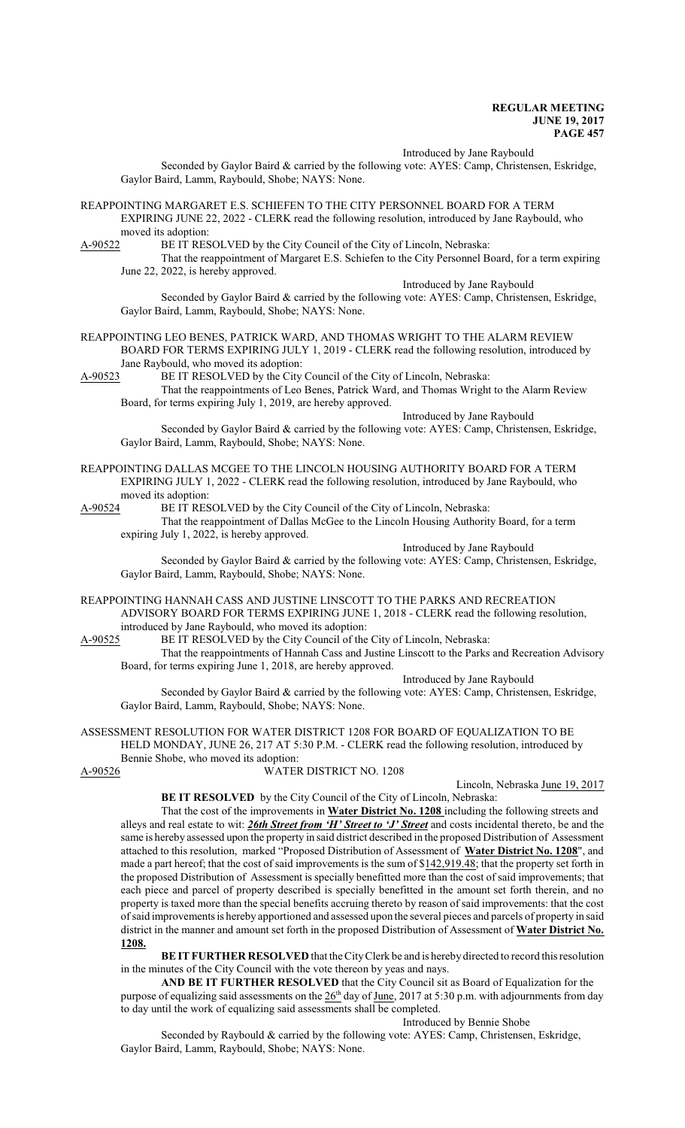Introduced by Jane Raybould

Seconded by Gaylor Baird & carried by the following vote: AYES: Camp, Christensen, Eskridge, Gaylor Baird, Lamm, Raybould, Shobe; NAYS: None.

REAPPOINTING MARGARET E.S. SCHIEFEN TO THE CITY PERSONNEL BOARD FOR A TERM EXPIRING JUNE 22, 2022 - CLERK read the following resolution, introduced by Jane Raybould, who moved its adoption:<br>A-90522 BE IT RES

BE IT RESOLVED by the City Council of the City of Lincoln, Nebraska:

That the reappointment of Margaret E.S. Schiefen to the City Personnel Board, for a term expiring June 22, 2022, is hereby approved.

Introduced by Jane Raybould

Seconded by Gaylor Baird & carried by the following vote: AYES: Camp, Christensen, Eskridge, Gaylor Baird, Lamm, Raybould, Shobe; NAYS: None.

REAPPOINTING LEO BENES, PATRICK WARD, AND THOMAS WRIGHT TO THE ALARM REVIEW BOARD FOR TERMS EXPIRING JULY 1, 2019 - CLERK read the following resolution, introduced by Jane Raybould, who moved its adoption:<br>A-90523 BE IT RESOLVED by the City

BE IT RESOLVED by the City Council of the City of Lincoln, Nebraska:

That the reappointments of Leo Benes, Patrick Ward, and Thomas Wright to the Alarm Review Board, for terms expiring July 1, 2019, are hereby approved.

Introduced by Jane Raybould Seconded by Gaylor Baird & carried by the following vote: AYES: Camp, Christensen, Eskridge, Gaylor Baird, Lamm, Raybould, Shobe; NAYS: None.

REAPPOINTING DALLAS MCGEE TO THE LINCOLN HOUSING AUTHORITY BOARD FOR A TERM EXPIRING JULY 1, 2022 - CLERK read the following resolution, introduced by Jane Raybould, who moved its adoption:<br>A-90524 BE IT RES

BE IT RESOLVED by the City Council of the City of Lincoln, Nebraska:

That the reappointment of Dallas McGee to the Lincoln Housing Authority Board, for a term expiring July 1, 2022, is hereby approved.

Introduced by Jane Raybould Seconded by Gaylor Baird & carried by the following vote: AYES: Camp, Christensen, Eskridge, Gaylor Baird, Lamm, Raybould, Shobe; NAYS: None.

REAPPOINTING HANNAH CASS AND JUSTINE LINSCOTT TO THE PARKS AND RECREATION ADVISORY BOARD FOR TERMS EXPIRING JUNE 1, 2018 - CLERK read the following resolution, introduced by Jane Raybould, who moved its adoption:

A-90525 BE IT RESOLVED by the City Council of the City of Lincoln, Nebraska:

That the reappointments of Hannah Cass and Justine Linscott to the Parks and Recreation Advisory Board, for terms expiring June 1, 2018, are hereby approved.

Introduced by Jane Raybould

Seconded by Gaylor Baird & carried by the following vote: AYES: Camp, Christensen, Eskridge, Gaylor Baird, Lamm, Raybould, Shobe; NAYS: None.

ASSESSMENT RESOLUTION FOR WATER DISTRICT 1208 FOR BOARD OF EQUALIZATION TO BE HELD MONDAY, JUNE 26, 217 AT 5:30 P.M. - CLERK read the following resolution, introduced by

Bennie Shobe, who moved its adoption:<br>A-90526 WATER

WATER DISTRICT NO. 1208

Lincoln, Nebraska June 19, 2017

**BE IT RESOLVED** by the City Council of the City of Lincoln, Nebraska:

That the cost of the improvements in **Water District No. 1208** including the following streets and alleys and real estate to wit: *26th Street from 'H' Street to 'J' Street* and costs incidental thereto, be and the same is hereby assessed upon the property in said district described in the proposed Distribution of Assessment attached to this resolution, marked "Proposed Distribution of Assessment of **Water District No. 1208**", and made a part hereof; that the cost of said improvements is the sum of \$142,919.48; that the property set forth in the proposed Distribution of Assessment is specially benefitted more than the cost of said improvements; that each piece and parcel of property described is specially benefitted in the amount set forth therein, and no property is taxed more than the special benefits accruing thereto by reason of said improvements: that the cost ofsaid improvements is hereby apportioned and assessed upon the several pieces and parcels of property in said district in the manner and amount set forth in the proposed Distribution of Assessment of **Water District No. 1208.**

**BE IT FURTHER RESOLVED** that the CityClerk be and is hereby directed to record this resolution in the minutes of the City Council with the vote thereon by yeas and nays.

**AND BE IT FURTHER RESOLVED** that the City Council sit as Board of Equalization for the purpose of equalizing said assessments on the  $26<sup>th</sup>$  day of June, 2017 at 5:30 p.m. with adjournments from day to day until the work of equalizing said assessments shall be completed.

Introduced by Bennie Shobe

Seconded by Raybould & carried by the following vote: AYES: Camp, Christensen, Eskridge, Gaylor Baird, Lamm, Raybould, Shobe; NAYS: None.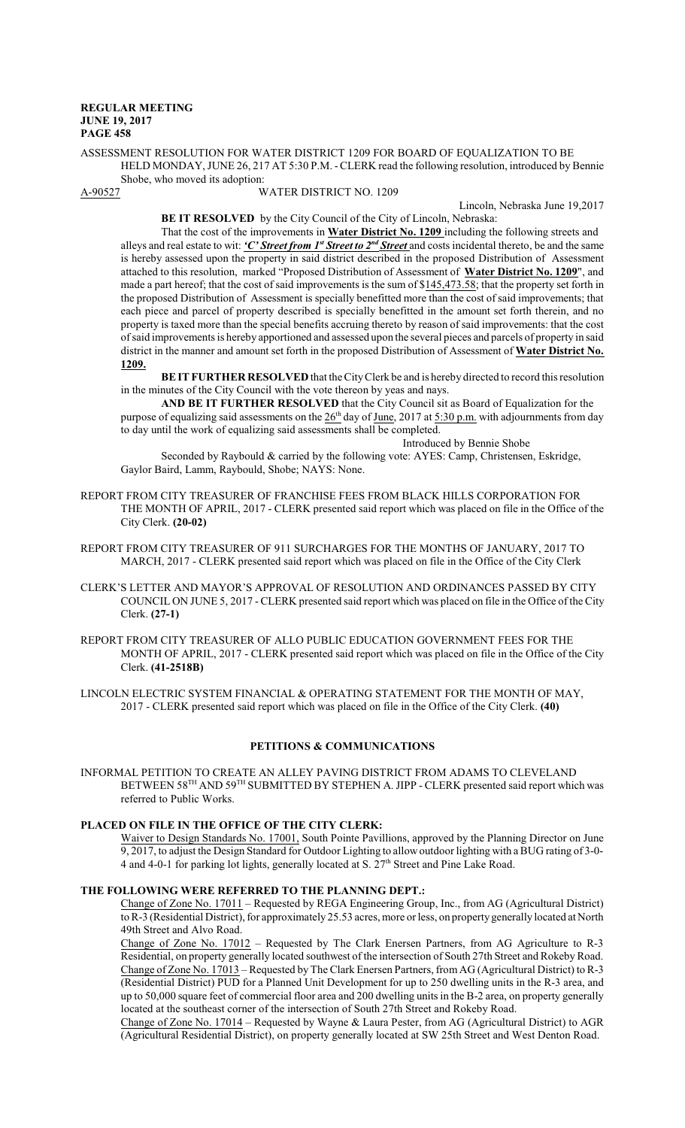ASSESSMENT RESOLUTION FOR WATER DISTRICT 1209 FOR BOARD OF EQUALIZATION TO BE HELD MONDAY, JUNE 26, 217 AT 5:30 P.M. - CLERK read the following resolution, introduced by Bennie Shobe, who moved its adoption:<br>A-90527 W

#### WATER DISTRICT NO. 1209

Lincoln, Nebraska June 19,2017

**BE IT RESOLVED** by the City Council of the City of Lincoln, Nebraska: That the cost of the improvements in **Water District No. 1209** including the following streets and

alleys and real estate to wit: *'C' Street from 1<sup>st</sup> Street to 2<sup>nd</sup> Street* and costs incidental thereto, be and the same is hereby assessed upon the property in said district described in the proposed Distribution of Assessment attached to this resolution, marked "Proposed Distribution of Assessment of **Water District No. 1209**", and made a part hereof; that the cost of said improvements is the sum of \$145,473.58; that the property set forth in the proposed Distribution of Assessment is specially benefitted more than the cost of said improvements; that each piece and parcel of property described is specially benefitted in the amount set forth therein, and no property is taxed more than the special benefits accruing thereto by reason of said improvements: that the cost ofsaid improvements is hereby apportioned and assessed upon the several pieces and parcels of property in said district in the manner and amount set forth in the proposed Distribution of Assessment of **Water District No. 1209.**

**BE IT FURTHER RESOLVED** that the CityClerk be and is hereby directed to record this resolution in the minutes of the City Council with the vote thereon by yeas and nays.

**AND BE IT FURTHER RESOLVED** that the City Council sit as Board of Equalization for the purpose of equalizing said assessments on the  $26<sup>th</sup>$  day of June, 2017 at 5:30 p.m. with adjournments from day to day until the work of equalizing said assessments shall be completed.

Introduced by Bennie Shobe

Seconded by Raybould & carried by the following vote: AYES: Camp, Christensen, Eskridge, Gaylor Baird, Lamm, Raybould, Shobe; NAYS: None.

REPORT FROM CITY TREASURER OF FRANCHISE FEES FROM BLACK HILLS CORPORATION FOR THE MONTH OF APRIL, 2017 - CLERK presented said report which was placed on file in the Office of the City Clerk. **(20-02)**

- REPORT FROM CITY TREASURER OF 911 SURCHARGES FOR THE MONTHS OF JANUARY, 2017 TO MARCH, 2017 - CLERK presented said report which was placed on file in the Office of the City Clerk
- CLERK'S LETTER AND MAYOR'S APPROVAL OF RESOLUTION AND ORDINANCES PASSED BY CITY COUNCIL ON JUNE 5, 2017 - CLERK presented said report which was placed on file in the Office of the City Clerk. **(27-1)**
- REPORT FROM CITY TREASURER OF ALLO PUBLIC EDUCATION GOVERNMENT FEES FOR THE MONTH OF APRIL, 2017 - CLERK presented said report which was placed on file in the Office of the City Clerk. **(41-2518B)**

LINCOLN ELECTRIC SYSTEM FINANCIAL & OPERATING STATEMENT FOR THE MONTH OF MAY, 2017 - CLERK presented said report which was placed on file in the Office of the City Clerk. **(40)**

## **PETITIONS & COMMUNICATIONS**

INFORMAL PETITION TO CREATE AN ALLEY PAVING DISTRICT FROM ADAMS TO CLEVELAND BETWEEN 58<sup>TH</sup> AND 59<sup>TH</sup> SUBMITTED BY STEPHEN A. JIPP - CLERK presented said report which was referred to Public Works.

## **PLACED ON FILE IN THE OFFICE OF THE CITY CLERK:**

Waiver to Design Standards No. 17001, South Pointe Pavillions, approved by the Planning Director on June 9, 2017, to adjust the Design Standard for Outdoor Lighting to allowoutdoor lighting with a BUG rating of 3-0- 4 and 4-0-1 for parking lot lights, generally located at S. 27<sup>th</sup> Street and Pine Lake Road.

#### **THE FOLLOWING WERE REFERRED TO THE PLANNING DEPT.:**

Change of Zone No. 17011 – Requested by REGA Engineering Group, Inc., from AG (Agricultural District) toR-3 (Residential District), for approximately 25.53 acres, more or less, on property generally located at North 49th Street and Alvo Road.

Change of Zone No. 17012 – Requested by The Clark Enersen Partners, from AG Agriculture to R-3 Residential, on property generally located southwest of the intersection of South 27th Street and Rokeby Road. Change of Zone No. 17013 – Requested by The Clark Enersen Partners, from AG (Agricultural District) to R-3 (Residential District) PUD for a Planned Unit Development for up to 250 dwelling units in the R-3 area, and up to 50,000 square feet of commercial floor area and 200 dwelling units in the B-2 area, on property generally located at the southeast corner of the intersection of South 27th Street and Rokeby Road.

Change of Zone No. 17014 – Requested by Wayne & Laura Pester, from AG (Agricultural District) to AGR (Agricultural Residential District), on property generally located at SW 25th Street and West Denton Road.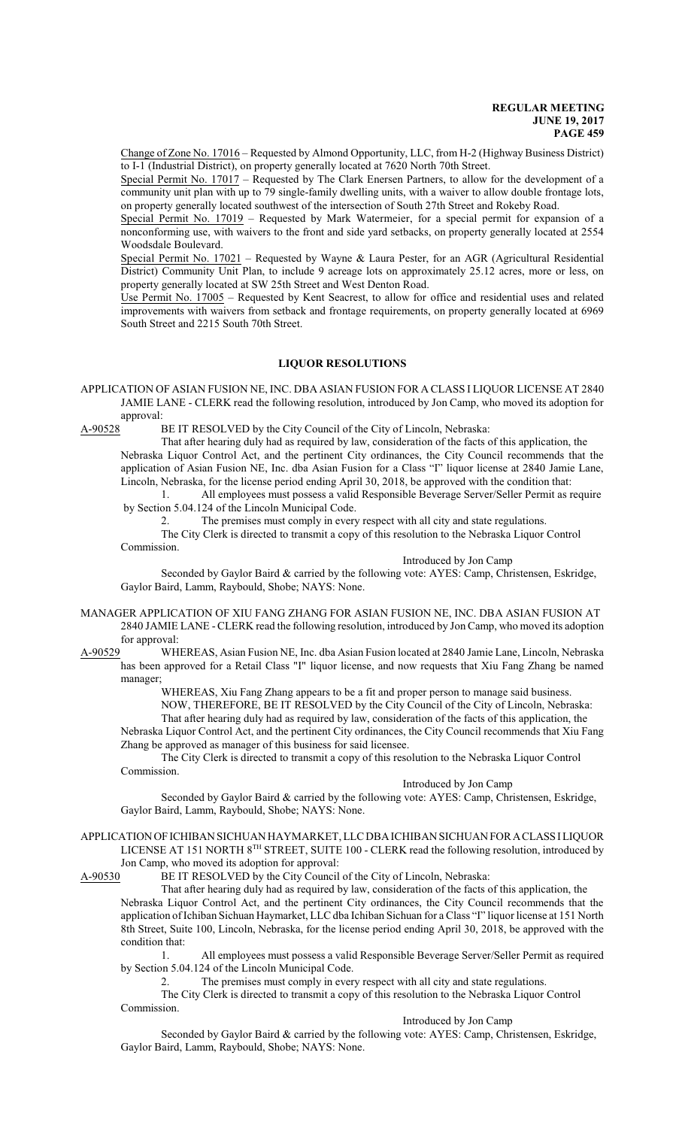Change of Zone No. 17016 – Requested by Almond Opportunity, LLC, from H-2 (Highway Business District) to I-1 (Industrial District), on property generally located at 7620 North 70th Street.

Special Permit No. 17017 – Requested by The Clark Enersen Partners, to allow for the development of a community unit plan with up to 79 single-family dwelling units, with a waiver to allow double frontage lots, on property generally located southwest of the intersection of South 27th Street and Rokeby Road.

Special Permit No. 17019 – Requested by Mark Watermeier, for a special permit for expansion of a nonconforming use, with waivers to the front and side yard setbacks, on property generally located at 2554 Woodsdale Boulevard.

Special Permit No. 17021 - Requested by Wayne & Laura Pester, for an AGR (Agricultural Residential District) Community Unit Plan, to include 9 acreage lots on approximately 25.12 acres, more or less, on property generally located at SW 25th Street and West Denton Road.

Use Permit No. 17005 – Requested by Kent Seacrest, to allow for office and residential uses and related improvements with waivers from setback and frontage requirements, on property generally located at 6969 South Street and 2215 South 70th Street.

## **LIQUOR RESOLUTIONS**

APPLICATION OF ASIAN FUSION NE, INC. DBA ASIAN FUSION FOR A CLASS I LIQUOR LICENSE AT 2840 JAMIE LANE - CLERK read the following resolution, introduced by Jon Camp, who moved its adoption for approval:

A-90528 BE IT RESOLVED by the City Council of the City of Lincoln, Nebraska:

That after hearing duly had as required by law, consideration of the facts of this application, the Nebraska Liquor Control Act, and the pertinent City ordinances, the City Council recommends that the application of Asian Fusion NE, Inc. dba Asian Fusion for a Class "I" liquor license at 2840 Jamie Lane, Lincoln, Nebraska, for the license period ending April 30, 2018, be approved with the condition that:

1. All employees must possess a valid Responsible Beverage Server/Seller Permit as require by Section 5.04.124 of the Lincoln Municipal Code.

2. The premises must comply in every respect with all city and state regulations.

The City Clerk is directed to transmit a copy of this resolution to the Nebraska Liquor Control Commission.

Introduced by Jon Camp

Seconded by Gaylor Baird & carried by the following vote: AYES: Camp, Christensen, Eskridge, Gaylor Baird, Lamm, Raybould, Shobe; NAYS: None.

MANAGER APPLICATION OF XIU FANG ZHANG FOR ASIAN FUSION NE, INC. DBA ASIAN FUSION AT 2840 JAMIE LANE - CLERK read the following resolution, introduced by Jon Camp, who moved its adoption for approval:<br>A-90529 WH

WHEREAS, Asian Fusion NE, Inc. dba Asian Fusion located at 2840 Jamie Lane, Lincoln, Nebraska has been approved for a Retail Class "I" liquor license, and now requests that Xiu Fang Zhang be named manager;

WHEREAS, Xiu Fang Zhang appears to be a fit and proper person to manage said business.

NOW, THEREFORE, BE IT RESOLVED by the City Council of the City of Lincoln, Nebraska:

That after hearing duly had as required by law, consideration of the facts of this application, the Nebraska Liquor Control Act, and the pertinent City ordinances, the City Council recommends that Xiu Fang Zhang be approved as manager of this business for said licensee.

The City Clerk is directed to transmit a copy of this resolution to the Nebraska Liquor Control Commission.

#### Introduced by Jon Camp

Seconded by Gaylor Baird & carried by the following vote: AYES: Camp, Christensen, Eskridge, Gaylor Baird, Lamm, Raybould, Shobe; NAYS: None.

#### APPLICATIONOFICHIBAN SICHUAN HAYMARKET, LLC DBAICHIBAN SICHUANFORACLASSILIQUOR LICENSE AT 151 NORTH 8<sup>TH</sup> STREET, SUITE 100 - CLERK read the following resolution, introduced by

Jon Camp, who moved its adoption for approval:

A-90530 BE IT RESOLVED by the City Council of the City of Lincoln, Nebraska:

That after hearing duly had as required by law, consideration of the facts of this application, the Nebraska Liquor Control Act, and the pertinent City ordinances, the City Council recommends that the application ofIchiban Sichuan Haymarket, LLC dba Ichiban Sichuan for a Class "I" liquor license at 151 North 8th Street, Suite 100, Lincoln, Nebraska, for the license period ending April 30, 2018, be approved with the condition that:

1. All employees must possess a valid Responsible Beverage Server/Seller Permit as required by Section 5.04.124 of the Lincoln Municipal Code.

2. The premises must comply in every respect with all city and state regulations.

The City Clerk is directed to transmit a copy of this resolution to the Nebraska Liquor Control Commission.

Introduced by Jon Camp

Seconded by Gaylor Baird & carried by the following vote: AYES: Camp, Christensen, Eskridge, Gaylor Baird, Lamm, Raybould, Shobe; NAYS: None.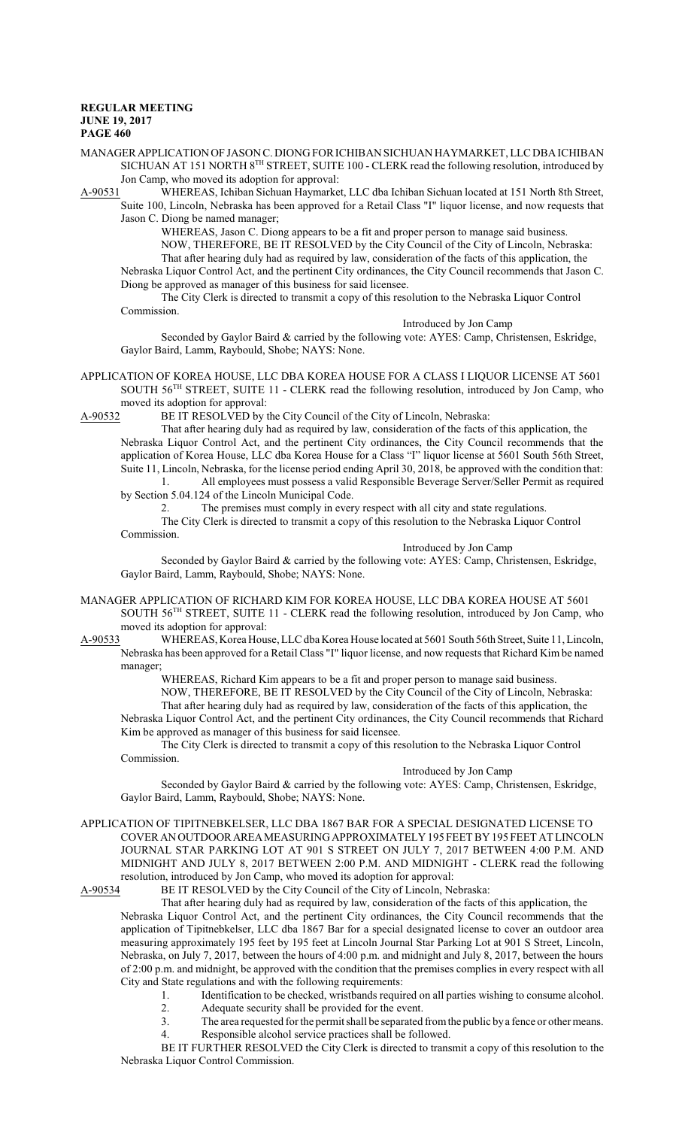- MANAGERAPPLICATIONOF JASON C. DIONG FOR ICHIBAN SICHUAN HAYMARKET, LLC DBAICHIBAN SICHUAN AT 151 NORTH 8TH STREET, SUITE 100 - CLERK read the following resolution, introduced by Jon Camp, who moved its adoption for approval:
- A-90531 WHEREAS, Ichiban Sichuan Haymarket, LLC dba Ichiban Sichuan located at 151 North 8th Street, Suite 100, Lincoln, Nebraska has been approved for a Retail Class "I" liquor license, and now requests that Jason C. Diong be named manager;

WHEREAS, Jason C. Diong appears to be a fit and proper person to manage said business. NOW, THEREFORE, BE IT RESOLVED by the City Council of the City of Lincoln, Nebraska: That after hearing duly had as required by law, consideration of the facts of this application, the Nebraska Liquor Control Act, and the pertinent City ordinances, the City Council recommends that Jason C.

Diong be approved as manager of this business for said licensee.

The City Clerk is directed to transmit a copy of this resolution to the Nebraska Liquor Control Commission.

Introduced by Jon Camp

Seconded by Gaylor Baird & carried by the following vote: AYES: Camp, Christensen, Eskridge, Gaylor Baird, Lamm, Raybould, Shobe; NAYS: None.

APPLICATION OF KOREA HOUSE, LLC DBA KOREA HOUSE FOR A CLASS I LIQUOR LICENSE AT 5601 SOUTH 56<sup>TH</sup> STREET, SUITE 11 - CLERK read the following resolution, introduced by Jon Camp, who moved its adoption for approval:

A-90532 BE IT RESOLVED by the City Council of the City of Lincoln, Nebraska:

That after hearing duly had as required by law, consideration of the facts of this application, the Nebraska Liquor Control Act, and the pertinent City ordinances, the City Council recommends that the application of Korea House, LLC dba Korea House for a Class "I" liquor license at 5601 South 56th Street, Suite 11, Lincoln, Nebraska, for the license period ending April 30, 2018, be approved with the condition that: 1. All employees must possess a valid Responsible Beverage Server/Seller Permit as required

by Section 5.04.124 of the Lincoln Municipal Code.

2. The premises must comply in every respect with all city and state regulations.

The City Clerk is directed to transmit a copy of this resolution to the Nebraska Liquor Control Commission.

Introduced by Jon Camp

Seconded by Gaylor Baird & carried by the following vote: AYES: Camp, Christensen, Eskridge, Gaylor Baird, Lamm, Raybould, Shobe; NAYS: None.

- MANAGER APPLICATION OF RICHARD KIM FOR KOREA HOUSE, LLC DBA KOREA HOUSE AT 5601 SOUTH 56<sup>TH</sup> STREET, SUITE 11 - CLERK read the following resolution, introduced by Jon Camp, who moved its adoption for approval:
- A-90533 WHEREAS, Korea House, LLC dba Korea House located at 5601 South 56th Street, Suite 11, Lincoln, Nebraska has been approved for a Retail Class "I" liquor license, and now requests that Richard Kim be named manager;

WHEREAS, Richard Kim appears to be a fit and proper person to manage said business. NOW, THEREFORE, BE IT RESOLVED by the City Council of the City of Lincoln, Nebraska:

That after hearing duly had as required by law, consideration of the facts of this application, the Nebraska Liquor Control Act, and the pertinent City ordinances, the City Council recommends that Richard Kim be approved as manager of this business for said licensee.

The City Clerk is directed to transmit a copy of this resolution to the Nebraska Liquor Control Commission.

#### Introduced by Jon Camp

Seconded by Gaylor Baird & carried by the following vote: AYES: Camp, Christensen, Eskridge, Gaylor Baird, Lamm, Raybould, Shobe; NAYS: None.

APPLICATION OF TIPITNEBKELSER, LLC DBA 1867 BAR FOR A SPECIAL DESIGNATED LICENSE TO COVER ANOUTDOORAREAMEASURING APPROXIMATELY195 FEETBY195 FEET AT LINCOLN JOURNAL STAR PARKING LOT AT 901 S STREET ON JULY 7, 2017 BETWEEN 4:00 P.M. AND MIDNIGHT AND JULY 8, 2017 BETWEEN 2:00 P.M. AND MIDNIGHT - CLERK read the following resolution, introduced by Jon Camp, who moved its adoption for approval:<br>A-90534 BE IT RESOLVED by the City Council of the City of Lincoln, Ne

BE IT RESOLVED by the City Council of the City of Lincoln, Nebraska:

That after hearing duly had as required by law, consideration of the facts of this application, the Nebraska Liquor Control Act, and the pertinent City ordinances, the City Council recommends that the application of Tipitnebkelser, LLC dba 1867 Bar for a special designated license to cover an outdoor area measuring approximately 195 feet by 195 feet at Lincoln Journal Star Parking Lot at 901 S Street, Lincoln, Nebraska, on July 7, 2017, between the hours of 4:00 p.m. and midnight and July 8, 2017, between the hours of 2:00 p.m. and midnight, be approved with the condition that the premises complies in every respect with all City and State regulations and with the following requirements:

- 1. Identification to be checked, wristbands required on all parties wishing to consume alcohol.
- 2. Adequate security shall be provided for the event.

3. The area requested for the permit shall be separated fromthe public bya fence or other means. 4. Responsible alcohol service practices shall be followed.

BE IT FURTHER RESOLVED the City Clerk is directed to transmit a copy of this resolution to the Nebraska Liquor Control Commission.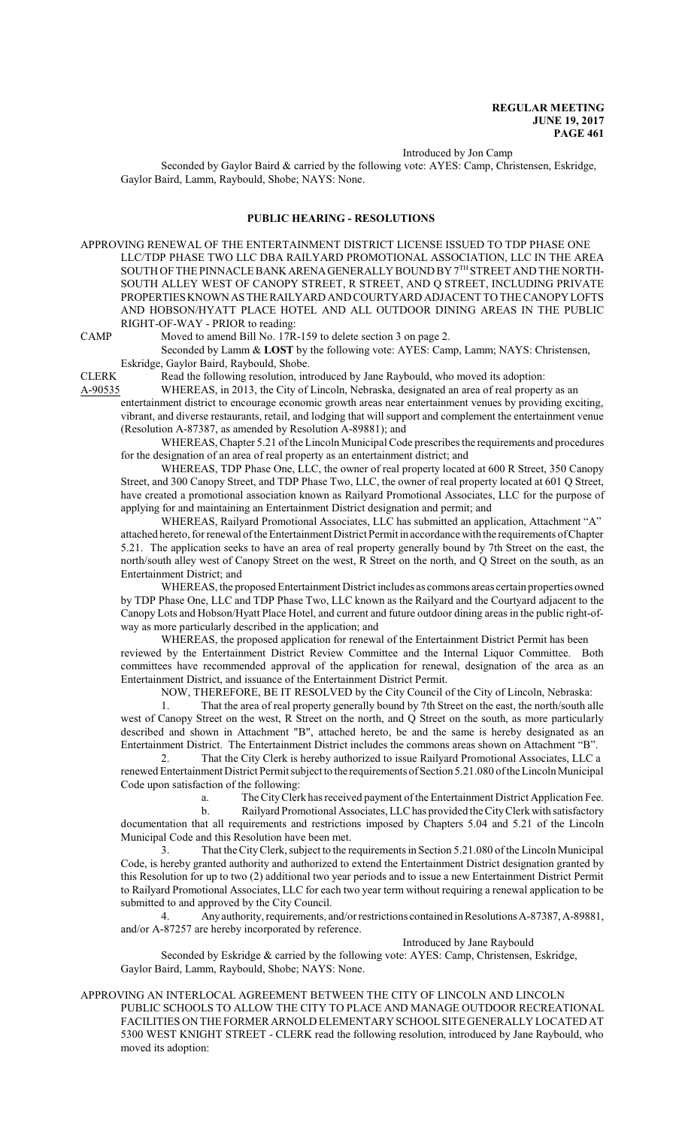Introduced by Jon Camp

Seconded by Gaylor Baird & carried by the following vote: AYES: Camp, Christensen, Eskridge, Gaylor Baird, Lamm, Raybould, Shobe; NAYS: None.

#### **PUBLIC HEARING - RESOLUTIONS**

APPROVING RENEWAL OF THE ENTERTAINMENT DISTRICT LICENSE ISSUED TO TDP PHASE ONE LLC/TDP PHASE TWO LLC DBA RAILYARD PROMOTIONAL ASSOCIATION, LLC IN THE AREA SOUTH OF THE PINNACLE BANK ARENA GENERALLY BOUND BY 7<sup>th</sup> STREET AND THE NORTH-SOUTH ALLEY WEST OF CANOPY STREET, R STREET, AND Q STREET, INCLUDING PRIVATE PROPERTIESKNOWNASTHERAILYARD AND COURTYARD ADJACENT TO THE CANOPYLOFTS AND HOBSON/HYATT PLACE HOTEL AND ALL OUTDOOR DINING AREAS IN THE PUBLIC RIGHT-OF-WAY - PRIOR to reading:

CAMP Moved to amend Bill No. 17R-159 to delete section 3 on page 2.

Seconded by Lamm & **LOST** by the following vote: AYES: Camp, Lamm; NAYS: Christensen, Eskridge, Gaylor Baird, Raybould, Shobe.

CLERK Read the following resolution, introduced by Jane Raybould, who moved its adoption:

A-90535 WHEREAS, in 2013, the City of Lincoln, Nebraska, designated an area of real property as an entertainment district to encourage economic growth areas near entertainment venues by providing exciting, vibrant, and diverse restaurants, retail, and lodging that will support and complement the entertainment venue (Resolution A-87387, as amended by Resolution A-89881); and

WHEREAS, Chapter 5.21 ofthe Lincoln Municipal Code prescribes the requirements and procedures for the designation of an area of real property as an entertainment district; and

WHEREAS, TDP Phase One, LLC, the owner of real property located at 600 R Street, 350 Canopy Street, and 300 Canopy Street, and TDP Phase Two, LLC, the owner of real property located at 601 Q Street, have created a promotional association known as Railyard Promotional Associates, LLC for the purpose of applying for and maintaining an Entertainment District designation and permit; and

WHEREAS, Railyard Promotional Associates, LLC has submitted an application, Attachment "A" attached hereto, for renewal of the Entertainment District Permit in accordance with the requirements of Chapter 5.21. The application seeks to have an area of real property generally bound by 7th Street on the east, the north/south alley west of Canopy Street on the west, R Street on the north, and Q Street on the south, as an Entertainment District; and

WHEREAS, the proposed Entertainment District includes as commons areas certain properties owned by TDP Phase One, LLC and TDP Phase Two, LLC known as the Railyard and the Courtyard adjacent to the Canopy Lots and Hobson/Hyatt Place Hotel, and current and future outdoor dining areas in the public right-ofway as more particularly described in the application; and

WHEREAS, the proposed application for renewal of the Entertainment District Permit has been reviewed by the Entertainment District Review Committee and the Internal Liquor Committee. Both committees have recommended approval of the application for renewal, designation of the area as an Entertainment District, and issuance of the Entertainment District Permit.

NOW, THEREFORE, BE IT RESOLVED by the City Council of the City of Lincoln, Nebraska:

1. That the area of real property generally bound by 7th Street on the east, the north/south alle west of Canopy Street on the west, R Street on the north, and Q Street on the south, as more particularly described and shown in Attachment "B", attached hereto, be and the same is hereby designated as an Entertainment District. The Entertainment District includes the commons areas shown on Attachment "B".

2. That the City Clerk is hereby authorized to issue Railyard Promotional Associates, LLC a renewed Entertainment District Permit subject to the requirements of Section 5.21.080 of the Lincoln Municipal Code upon satisfaction of the following:

a. The CityClerk has received payment ofthe Entertainment District Application Fee.

b. Railyard Promotional Associates, LLC has provided the City Clerk with satisfactory documentation that all requirements and restrictions imposed by Chapters 5.04 and 5.21 of the Lincoln Municipal Code and this Resolution have been met.

3. That the CityClerk, subject to the requirements in Section 5.21.080 ofthe Lincoln Municipal Code, is hereby granted authority and authorized to extend the Entertainment District designation granted by this Resolution for up to two (2) additional two year periods and to issue a new Entertainment District Permit to Railyard Promotional Associates, LLC for each two year term without requiring a renewal application to be submitted to and approved by the City Council.

4. Anyauthority, requirements, and/or restrictions contained inResolutions A-87387,A-89881, and/or A-87257 are hereby incorporated by reference.

Introduced by Jane Raybould

Seconded by Eskridge & carried by the following vote: AYES: Camp, Christensen, Eskridge, Gaylor Baird, Lamm, Raybould, Shobe; NAYS: None.

#### APPROVING AN INTERLOCAL AGREEMENT BETWEEN THE CITY OF LINCOLN AND LINCOLN

PUBLIC SCHOOLS TO ALLOW THE CITY TO PLACE AND MANAGE OUTDOOR RECREATIONAL FACILITIES ON THE FORMER ARNOLD ELEMENTARY SCHOOLSITE GENERALLY LOCATED AT 5300 WEST KNIGHT STREET - CLERK read the following resolution, introduced by Jane Raybould, who moved its adoption: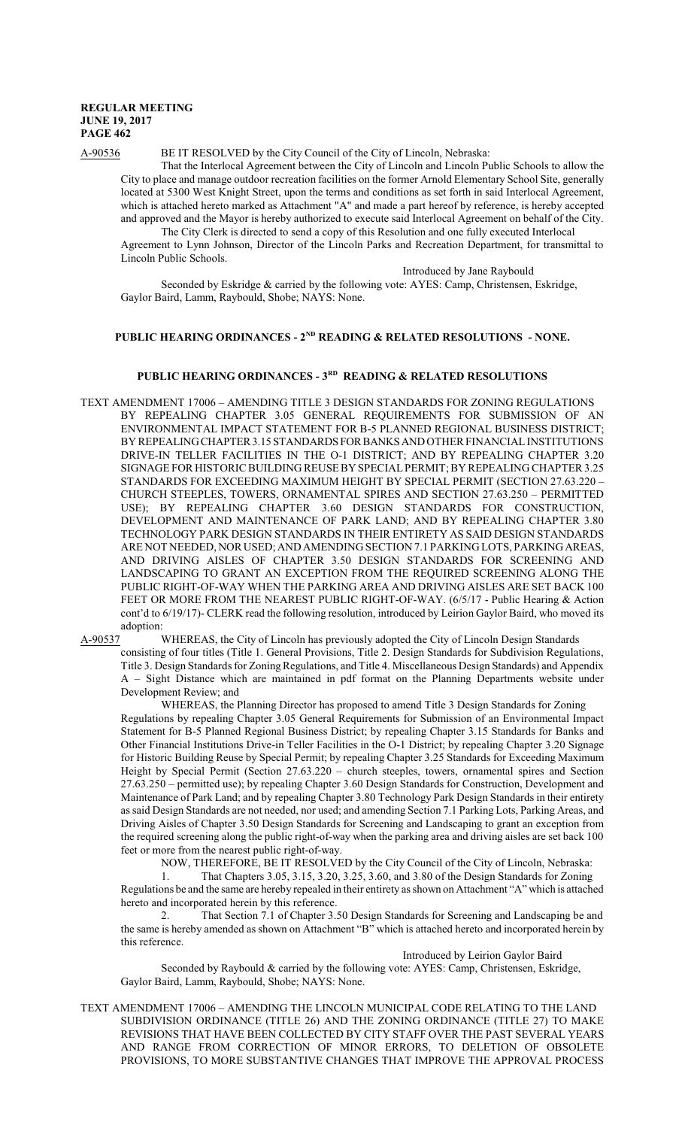A-90536 BE IT RESOLVED by the City Council of the City of Lincoln, Nebraska:

That the Interlocal Agreement between the City of Lincoln and Lincoln Public Schools to allow the City to place and manage outdoor recreation facilities on the former Arnold Elementary School Site, generally located at 5300 West Knight Street, upon the terms and conditions as set forth in said Interlocal Agreement, which is attached hereto marked as Attachment "A" and made a part hereof by reference, is hereby accepted and approved and the Mayor is hereby authorized to execute said Interlocal Agreement on behalf of the City.

The City Clerk is directed to send a copy of this Resolution and one fully executed Interlocal Agreement to Lynn Johnson, Director of the Lincoln Parks and Recreation Department, for transmittal to Lincoln Public Schools.

Introduced by Jane Raybould

Seconded by Eskridge & carried by the following vote: AYES: Camp, Christensen, Eskridge, Gaylor Baird, Lamm, Raybould, Shobe; NAYS: None.

## PUBLIC HEARING ORDINANCES - 2<sup>ND</sup> READING & RELATED RESOLUTIONS - NONE.

#### **PUBLIC HEARING ORDINANCES - 3RD READING & RELATED RESOLUTIONS**

TEXT AMENDMENT 17006 – AMENDING TITLE 3 DESIGN STANDARDS FOR ZONING REGULATIONS BY REPEALING CHAPTER 3.05 GENERAL REQUIREMENTS FOR SUBMISSION OF AN ENVIRONMENTAL IMPACT STATEMENT FOR B-5 PLANNED REGIONAL BUSINESS DISTRICT; BY REPEALINGCHAPTER3.15STANDARDSFORBANKSANDOTHER FINANCIALINSTITUTIONS DRIVE-IN TELLER FACILITIES IN THE O-1 DISTRICT; AND BY REPEALING CHAPTER 3.20 SIGNAGE FOR HISTORIC BUILDING REUSE BY SPECIALPERMIT; BY REPEALING CHAPTER 3.25 STANDARDS FOR EXCEEDING MAXIMUM HEIGHT BY SPECIAL PERMIT (SECTION 27.63.220 – CHURCH STEEPLES, TOWERS, ORNAMENTAL SPIRES AND SECTION 27.63.250 – PERMITTED USE); BY REPEALING CHAPTER 3.60 DESIGN STANDARDS FOR CONSTRUCTION, DEVELOPMENT AND MAINTENANCE OF PARK LAND; AND BY REPEALING CHAPTER 3.80 TECHNOLOGY PARK DESIGN STANDARDS IN THEIR ENTIRETY AS SAID DESIGN STANDARDS ARE NOT NEEDED, NOR USED; AND AMENDING SECTION 7.1 PARKING LOTS, PARKING AREAS, AND DRIVING AISLES OF CHAPTER 3.50 DESIGN STANDARDS FOR SCREENING AND LANDSCAPING TO GRANT AN EXCEPTION FROM THE REQUIRED SCREENING ALONG THE PUBLIC RIGHT-OF-WAY WHEN THE PARKING AREA AND DRIVING AISLES ARE SET BACK 100 FEET OR MORE FROM THE NEAREST PUBLIC RIGHT-OF-WAY. (6/5/17 - Public Hearing & Action cont'd to 6/19/17)- CLERK read the following resolution, introduced by Leirion Gaylor Baird, who moved its adoption:<br>A-90537

WHEREAS, the City of Lincoln has previously adopted the City of Lincoln Design Standards consisting of four titles (Title 1. General Provisions, Title 2. Design Standards for Subdivision Regulations, Title 3. Design Standards for Zoning Regulations, and Title 4. Miscellaneous Design Standards) and Appendix A – Sight Distance which are maintained in pdf format on the Planning Departments website under Development Review; and

WHEREAS, the Planning Director has proposed to amend Title 3 Design Standards for Zoning Regulations by repealing Chapter 3.05 General Requirements for Submission of an Environmental Impact Statement for B-5 Planned Regional Business District; by repealing Chapter 3.15 Standards for Banks and Other Financial Institutions Drive-in Teller Facilities in the O-1 District; by repealing Chapter 3.20 Signage for Historic Building Reuse by Special Permit; by repealing Chapter 3.25 Standards for Exceeding Maximum Height by Special Permit (Section 27.63.220 – church steeples, towers, ornamental spires and Section 27.63.250 – permitted use); by repealing Chapter 3.60 Design Standards for Construction, Development and Maintenance of Park Land; and by repealing Chapter 3.80 Technology Park Design Standards in their entirety as said Design Standards are not needed, nor used; and amending Section 7.1 Parking Lots, Parking Areas, and Driving Aisles of Chapter 3.50 Design Standards for Screening and Landscaping to grant an exception from the required screening along the public right-of-way when the parking area and driving aisles are set back 100 feet or more from the nearest public right-of-way.

NOW, THEREFORE, BE IT RESOLVED by the City Council of the City of Lincoln, Nebraska:

1. That Chapters 3.05, 3.15, 3.20, 3.25, 3.60, and 3.80 of the Design Standards for Zoning Regulations be and the same are hereby repealed in their entirety as shown on Attachment "A" which is attached hereto and incorporated herein by this reference.

2. That Section 7.1 of Chapter 3.50 Design Standards for Screening and Landscaping be and the same is hereby amended as shown on Attachment "B" which is attached hereto and incorporated herein by this reference.

Introduced by Leirion Gaylor Baird Seconded by Raybould & carried by the following vote: AYES: Camp, Christensen, Eskridge, Gaylor Baird, Lamm, Raybould, Shobe; NAYS: None.

TEXT AMENDMENT 17006 – AMENDING THE LINCOLN MUNICIPAL CODE RELATING TO THE LAND SUBDIVISION ORDINANCE (TITLE 26) AND THE ZONING ORDINANCE (TITLE 27) TO MAKE REVISIONS THAT HAVE BEEN COLLECTED BY CITY STAFF OVER THE PAST SEVERAL YEARS AND RANGE FROM CORRECTION OF MINOR ERRORS, TO DELETION OF OBSOLETE PROVISIONS, TO MORE SUBSTANTIVE CHANGES THAT IMPROVE THE APPROVAL PROCESS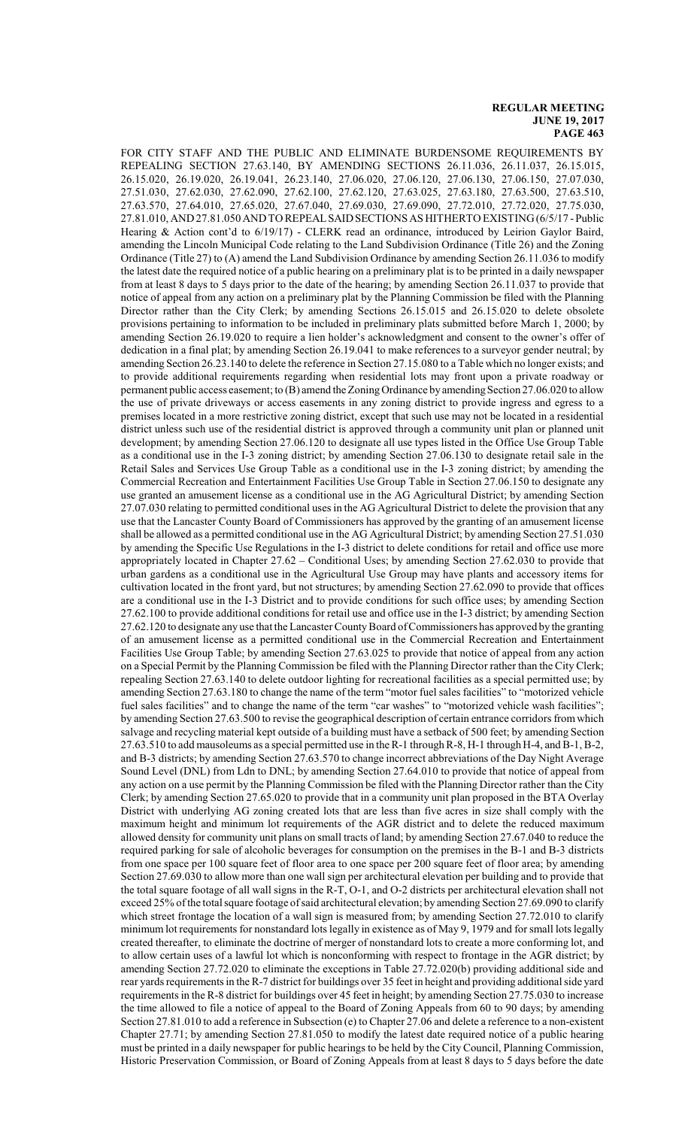FOR CITY STAFF AND THE PUBLIC AND ELIMINATE BURDENSOME REQUIREMENTS BY REPEALING SECTION 27.63.140, BY AMENDING SECTIONS 26.11.036, 26.11.037, 26.15.015, 26.15.020, 26.19.020, 26.19.041, 26.23.140, 27.06.020, 27.06.120, 27.06.130, 27.06.150, 27.07.030, 27.51.030, 27.62.030, 27.62.090, 27.62.100, 27.62.120, 27.63.025, 27.63.180, 27.63.500, 27.63.510, 27.63.570, 27.64.010, 27.65.020, 27.67.040, 27.69.030, 27.69.090, 27.72.010, 27.72.020, 27.75.030, 27.81.010, AND 27.81.050 AND TO REPEALSAIDSECTIONS AS HITHERTO EXISTING (6/5/17 -Public Hearing & Action cont'd to 6/19/17) - CLERK read an ordinance, introduced by Leirion Gaylor Baird, amending the Lincoln Municipal Code relating to the Land Subdivision Ordinance (Title 26) and the Zoning Ordinance (Title 27) to (A) amend the Land Subdivision Ordinance by amending Section 26.11.036 to modify the latest date the required notice of a public hearing on a preliminary plat is to be printed in a daily newspaper from at least 8 days to 5 days prior to the date of the hearing; by amending Section 26.11.037 to provide that notice of appeal from any action on a preliminary plat by the Planning Commission be filed with the Planning Director rather than the City Clerk; by amending Sections 26.15.015 and 26.15.020 to delete obsolete provisions pertaining to information to be included in preliminary plats submitted before March 1, 2000; by amending Section 26.19.020 to require a lien holder's acknowledgment and consent to the owner's offer of dedication in a final plat; by amending Section 26.19.041 to make references to a surveyor gender neutral; by amending Section 26.23.140 to delete the reference in Section 27.15.080 to a Table which no longer exists; and to provide additional requirements regarding when residential lots may front upon a private roadway or permanent public access easement; to (B) amend the Zoning Ordinance by amending Section 27.06.020 to allow the use of private driveways or access easements in any zoning district to provide ingress and egress to a premises located in a more restrictive zoning district, except that such use may not be located in a residential district unless such use of the residential district is approved through a community unit plan or planned unit development; by amending Section 27.06.120 to designate all use types listed in the Office Use Group Table as a conditional use in the I-3 zoning district; by amending Section 27.06.130 to designate retail sale in the Retail Sales and Services Use Group Table as a conditional use in the I-3 zoning district; by amending the Commercial Recreation and Entertainment Facilities Use Group Table in Section 27.06.150 to designate any use granted an amusement license as a conditional use in the AG Agricultural District; by amending Section 27.07.030 relating to permitted conditional uses in the AG Agricultural District to delete the provision that any use that the Lancaster County Board of Commissioners has approved by the granting of an amusement license shall be allowed as a permitted conditional use in the AG Agricultural District; by amending Section 27.51.030 by amending the Specific Use Regulations in the I-3 district to delete conditions for retail and office use more appropriately located in Chapter 27.62 – Conditional Uses; by amending Section 27.62.030 to provide that urban gardens as a conditional use in the Agricultural Use Group may have plants and accessory items for cultivation located in the front yard, but not structures; by amending Section 27.62.090 to provide that offices are a conditional use in the I-3 District and to provide conditions for such office uses; by amending Section 27.62.100 to provide additional conditions for retail use and office use in the I-3 district; by amending Section 27.62.120 to designate any use that the Lancaster CountyBoard ofCommissioners has approved by the granting of an amusement license as a permitted conditional use in the Commercial Recreation and Entertainment Facilities Use Group Table; by amending Section 27.63.025 to provide that notice of appeal from any action on a Special Permit by the Planning Commission be filed with the Planning Director rather than the City Clerk; repealing Section 27.63.140 to delete outdoor lighting for recreational facilities as a special permitted use; by amending Section 27.63.180 to change the name of the term "motor fuel sales facilities" to "motorized vehicle fuel sales facilities" and to change the name of the term "car washes" to "motorized vehicle wash facilities"; by amending Section 27.63.500 to revise the geographical description of certain entrance corridors from which salvage and recycling material kept outside of a building must have a setback of 500 feet; by amending Section 27.63.510 to add mausoleums as a special permitted use in the R-1 throughR-8, H-1 through H-4, andB-1, B-2, and B-3 districts; by amending Section 27.63.570 to change incorrect abbreviations of the Day Night Average Sound Level (DNL) from Ldn to DNL; by amending Section 27.64.010 to provide that notice of appeal from any action on a use permit by the Planning Commission be filed with the Planning Director rather than the City Clerk; by amending Section 27.65.020 to provide that in a community unit plan proposed in the BTA Overlay District with underlying AG zoning created lots that are less than five acres in size shall comply with the maximum height and minimum lot requirements of the AGR district and to delete the reduced maximum allowed density for community unit plans on small tracts of land; by amending Section 27.67.040 to reduce the required parking for sale of alcoholic beverages for consumption on the premises in the B-1 and B-3 districts from one space per 100 square feet of floor area to one space per 200 square feet of floor area; by amending Section 27.69.030 to allow more than one wall sign per architectural elevation per building and to provide that the total square footage of all wall signs in the R-T, O-1, and O-2 districts per architectural elevation shall not exceed 25% ofthe total square footage ofsaid architectural elevation; by amending Section 27.69.090 to clarify which street frontage the location of a wall sign is measured from; by amending Section 27.72.010 to clarify minimum lot requirements for nonstandard lots legally in existence as of May 9, 1979 and for small lots legally created thereafter, to eliminate the doctrine of merger of nonstandard lots to create a more conforming lot, and to allow certain uses of a lawful lot which is nonconforming with respect to frontage in the AGR district; by amending Section 27.72.020 to eliminate the exceptions in Table 27.72.020(b) providing additional side and rear yards requirements in the R-7 district for buildings over 35 feet in height and providing additional side yard requirements in the R-8 district for buildings over 45 feet in height; by amending Section 27.75.030 to increase the time allowed to file a notice of appeal to the Board of Zoning Appeals from 60 to 90 days; by amending Section 27.81.010 to add a reference in Subsection (e) to Chapter 27.06 and delete a reference to a non-existent Chapter 27.71; by amending Section 27.81.050 to modify the latest date required notice of a public hearing must be printed in a daily newspaper for public hearings to be held by the City Council, Planning Commission, Historic Preservation Commission, or Board of Zoning Appeals from at least 8 days to 5 days before the date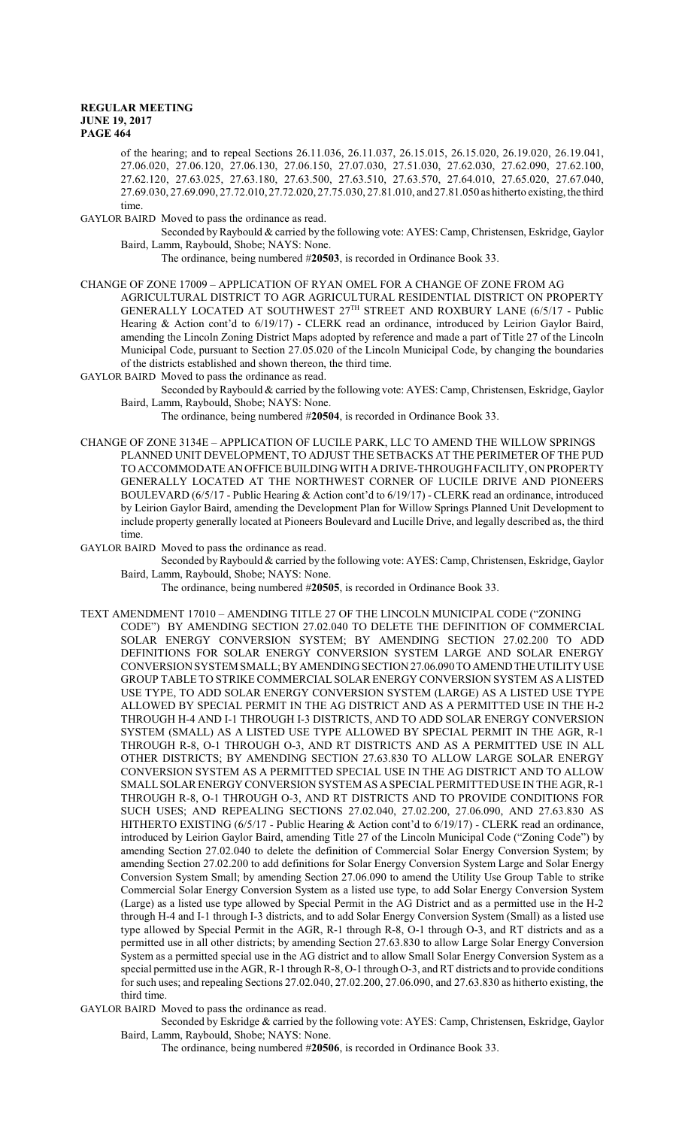of the hearing; and to repeal Sections 26.11.036, 26.11.037, 26.15.015, 26.15.020, 26.19.020, 26.19.041, 27.06.020, 27.06.120, 27.06.130, 27.06.150, 27.07.030, 27.51.030, 27.62.030, 27.62.090, 27.62.100, 27.62.120, 27.63.025, 27.63.180, 27.63.500, 27.63.510, 27.63.570, 27.64.010, 27.65.020, 27.67.040, 27.69.030, 27.69.090, 27.72.010, 27.72.020, 27.75.030, 27.81.010, and 27.81.050 as hitherto existing, the third time.

GAYLOR BAIRD Moved to pass the ordinance as read.

Seconded by Raybould & carried by the following vote: AYES: Camp, Christensen, Eskridge, Gaylor Baird, Lamm, Raybould, Shobe; NAYS: None.

The ordinance, being numbered #**20503**, is recorded in Ordinance Book 33.

#### CHANGE OF ZONE 17009 – APPLICATION OF RYAN OMEL FOR A CHANGE OF ZONE FROM AG

AGRICULTURAL DISTRICT TO AGR AGRICULTURAL RESIDENTIAL DISTRICT ON PROPERTY GENERALLY LOCATED AT SOUTHWEST 27TH STREET AND ROXBURY LANE (6/5/17 - Public Hearing & Action cont'd to 6/19/17) - CLERK read an ordinance, introduced by Leirion Gaylor Baird, amending the Lincoln Zoning District Maps adopted by reference and made a part of Title 27 of the Lincoln Municipal Code, pursuant to Section 27.05.020 of the Lincoln Municipal Code, by changing the boundaries of the districts established and shown thereon, the third time.

GAYLOR BAIRD Moved to pass the ordinance as read.

Seconded by Raybould & carried by the following vote: AYES: Camp, Christensen, Eskridge, Gaylor Baird, Lamm, Raybould, Shobe; NAYS: None.

The ordinance, being numbered #**20504**, is recorded in Ordinance Book 33.

CHANGE OF ZONE 3134E – APPLICATION OF LUCILE PARK, LLC TO AMEND THE WILLOW SPRINGS PLANNED UNIT DEVELOPMENT, TO ADJUST THE SETBACKS AT THE PERIMETER OF THE PUD TO ACCOMMODATEANOFFICE BUILDING WITH ADRIVE-THROUGH FACILITY, ON PROPERTY GENERALLY LOCATED AT THE NORTHWEST CORNER OF LUCILE DRIVE AND PIONEERS BOULEVARD (6/5/17 - Public Hearing & Action cont'd to 6/19/17) - CLERK read an ordinance, introduced by Leirion Gaylor Baird, amending the Development Plan for Willow Springs Planned Unit Development to include property generally located at Pioneers Boulevard and Lucille Drive, and legally described as, the third time.

GAYLOR BAIRD Moved to pass the ordinance as read.

Seconded by Raybould & carried by the following vote: AYES: Camp, Christensen, Eskridge, Gaylor Baird, Lamm, Raybould, Shobe; NAYS: None.

The ordinance, being numbered #**20505**, is recorded in Ordinance Book 33.

TEXT AMENDMENT 17010 – AMENDING TITLE 27 OF THE LINCOLN MUNICIPAL CODE ("ZONING CODE") BY AMENDING SECTION 27.02.040 TO DELETE THE DEFINITION OF COMMERCIAL SOLAR ENERGY CONVERSION SYSTEM; BY AMENDING SECTION 27.02.200 TO ADD DEFINITIONS FOR SOLAR ENERGY CONVERSION SYSTEM LARGE AND SOLAR ENERGY CONVERSION SYSTEM SMALL; BY AMENDING SECTION 27.06.090TOAMENDTHEUTILITY USE GROUP TABLE TO STRIKE COMMERCIAL SOLAR ENERGY CONVERSION SYSTEM AS A LISTED USE TYPE, TO ADD SOLAR ENERGY CONVERSION SYSTEM (LARGE) AS A LISTED USE TYPE ALLOWED BY SPECIAL PERMIT IN THE AG DISTRICT AND AS A PERMITTED USE IN THE H-2 THROUGH H-4 AND I-1 THROUGH I-3 DISTRICTS, AND TO ADD SOLAR ENERGY CONVERSION SYSTEM (SMALL) AS A LISTED USE TYPE ALLOWED BY SPECIAL PERMIT IN THE AGR, R-1 THROUGH R-8, O-1 THROUGH O-3, AND RT DISTRICTS AND AS A PERMITTED USE IN ALL OTHER DISTRICTS; BY AMENDING SECTION 27.63.830 TO ALLOW LARGE SOLAR ENERGY CONVERSION SYSTEM AS A PERMITTED SPECIAL USE IN THE AG DISTRICT AND TO ALLOW SMALLSOLAR ENERGY CONVERSION SYSTEM AS ASPECIALPERMITTEDUSE IN THE AGR, R-1 THROUGH R-8, O-1 THROUGH O-3, AND RT DISTRICTS AND TO PROVIDE CONDITIONS FOR SUCH USES; AND REPEALING SECTIONS 27.02.040, 27.02.200, 27.06.090, AND 27.63.830 AS HITHERTO EXISTING (6/5/17 - Public Hearing & Action cont'd to 6/19/17) - CLERK read an ordinance, introduced by Leirion Gaylor Baird, amending Title 27 of the Lincoln Municipal Code ("Zoning Code") by amending Section 27.02.040 to delete the definition of Commercial Solar Energy Conversion System; by amending Section 27.02.200 to add definitions for Solar Energy Conversion System Large and Solar Energy Conversion System Small; by amending Section 27.06.090 to amend the Utility Use Group Table to strike Commercial Solar Energy Conversion System as a listed use type, to add Solar Energy Conversion System (Large) as a listed use type allowed by Special Permit in the AG District and as a permitted use in the H-2 through H-4 and I-1 through I-3 districts, and to add Solar Energy Conversion System (Small) as a listed use type allowed by Special Permit in the AGR, R-1 through R-8, O-1 through O-3, and RT districts and as a permitted use in all other districts; by amending Section 27.63.830 to allow Large Solar Energy Conversion System as a permitted special use in the AG district and to allow Small Solar Energy Conversion System as a special permitted use in the AGR, R-1 through R-8, O-1 through O-3, and RT districts and to provide conditions for such uses; and repealing Sections 27.02.040, 27.02.200, 27.06.090, and 27.63.830 as hitherto existing, the third time.

GAYLOR BAIRD Moved to pass the ordinance as read.

Seconded by Eskridge & carried by the following vote: AYES: Camp, Christensen, Eskridge, Gaylor Baird, Lamm, Raybould, Shobe; NAYS: None.

The ordinance, being numbered #**20506**, is recorded in Ordinance Book 33.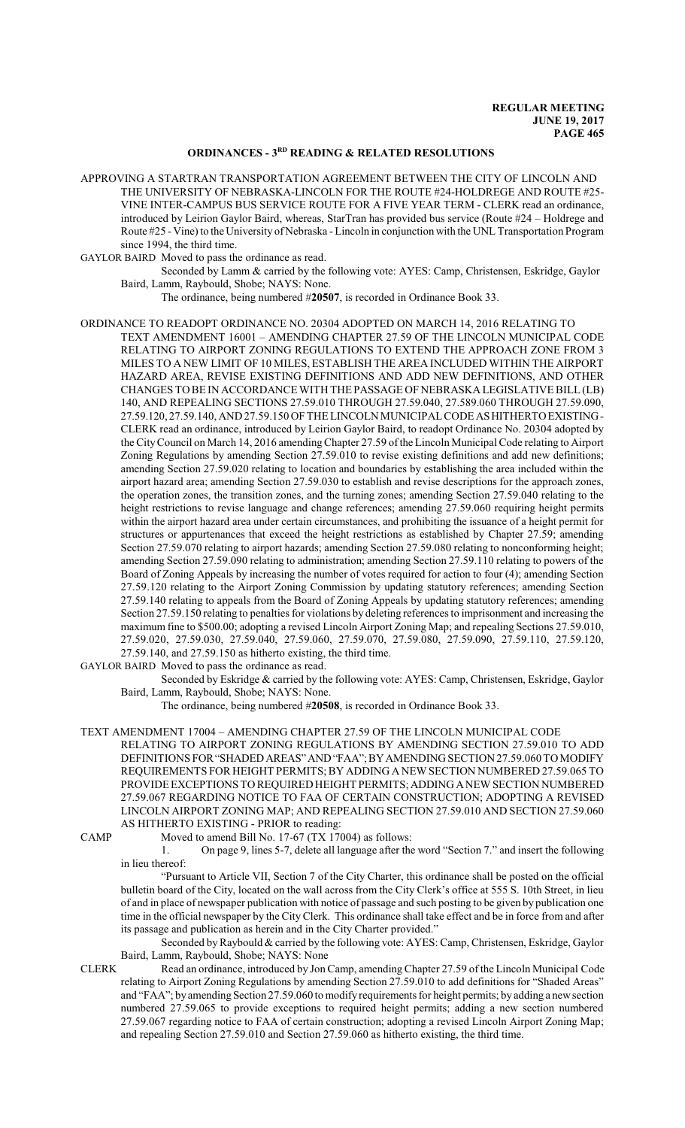# **ORDINANCES - 3RD READING & RELATED RESOLUTIONS**

APPROVING A STARTRAN TRANSPORTATION AGREEMENT BETWEEN THE CITY OF LINCOLN AND THE UNIVERSITY OF NEBRASKA-LINCOLN FOR THE ROUTE #24-HOLDREGE AND ROUTE #25- VINE INTER-CAMPUS BUS SERVICE ROUTE FOR A FIVE YEAR TERM - CLERK read an ordinance, introduced by Leirion Gaylor Baird, whereas, StarTran has provided bus service (Route #24 – Holdrege and Route #25 - Vine) to the University of Nebraska - Lincoln in conjunction with the UNL Transportation Program since 1994, the third time.

GAYLOR BAIRD Moved to pass the ordinance as read.

Seconded by Lamm & carried by the following vote: AYES: Camp, Christensen, Eskridge, Gaylor Baird, Lamm, Raybould, Shobe; NAYS: None.

The ordinance, being numbered #**20507**, is recorded in Ordinance Book 33.

ORDINANCE TO READOPT ORDINANCE NO. 20304 ADOPTED ON MARCH 14, 2016 RELATING TO TEXT AMENDMENT 16001 – AMENDING CHAPTER 27.59 OF THE LINCOLN MUNICIPAL CODE RELATING TO AIRPORT ZONING REGULATIONS TO EXTEND THE APPROACH ZONE FROM 3 MILES TO A NEW LIMIT OF 10 MILES, ESTABLISH THE AREA INCLUDED WITHIN THE AIRPORT HAZARD AREA, REVISE EXISTING DEFINITIONS AND ADD NEW DEFINITIONS, AND OTHER CHANGES TO BE IN ACCORDANCE WITH THE PASSAGE OF NEBRASKA LEGISLATIVE BILL(LB) 140, AND REPEALING SECTIONS 27.59.010 THROUGH 27.59.040, 27.589.060 THROUGH 27.59.090, 27.59.120, 27.59.140, AND 27.59.150 OF THE LINCOLN MUNICIPALCODE ASHITHERTOEXISTING-CLERK read an ordinance, introduced by Leirion Gaylor Baird, to readopt Ordinance No. 20304 adopted by the CityCouncil on March 14, 2016 amendingChapter 27.59 ofthe Lincoln Municipal Code relating to Airport Zoning Regulations by amending Section 27.59.010 to revise existing definitions and add new definitions; amending Section 27.59.020 relating to location and boundaries by establishing the area included within the airport hazard area; amending Section 27.59.030 to establish and revise descriptions for the approach zones, the operation zones, the transition zones, and the turning zones; amending Section 27.59.040 relating to the height restrictions to revise language and change references; amending 27.59.060 requiring height permits within the airport hazard area under certain circumstances, and prohibiting the issuance of a height permit for structures or appurtenances that exceed the height restrictions as established by Chapter 27.59; amending Section 27.59.070 relating to airport hazards; amending Section 27.59.080 relating to nonconforming height; amending Section 27.59.090 relating to administration; amending Section 27.59.110 relating to powers of the Board of Zoning Appeals by increasing the number of votes required for action to four (4); amending Section 27.59.120 relating to the Airport Zoning Commission by updating statutory references; amending Section 27.59.140 relating to appeals from the Board of Zoning Appeals by updating statutory references; amending Section 27.59.150 relating to penalties for violations by deleting references to imprisonment and increasing the maximum fine to \$500.00; adopting a revised Lincoln Airport Zoning Map; and repealing Sections 27.59.010, 27.59.020, 27.59.030, 27.59.040, 27.59.060, 27.59.070, 27.59.080, 27.59.090, 27.59.110, 27.59.120, 27.59.140, and 27.59.150 as hitherto existing, the third time.

GAYLOR BAIRD Moved to pass the ordinance as read.

Seconded by Eskridge & carried by the following vote: AYES: Camp, Christensen, Eskridge, Gaylor Baird, Lamm, Raybould, Shobe; NAYS: None.

The ordinance, being numbered #**20508**, is recorded in Ordinance Book 33.

TEXT AMENDMENT 17004 – AMENDING CHAPTER 27.59 OF THE LINCOLN MUNICIPAL CODE

RELATING TO AIRPORT ZONING REGULATIONS BY AMENDING SECTION 27.59.010 TO ADD DEFINITIONS FOR"SHADEDAREAS"AND"FAA";BYAMENDING SECTION 27.59.060TO MODIFY REQUIREMENTS FOR HEIGHT PERMITS; BY ADDING A NEW SECTION NUMBERED 27.59.065 TO PROVIDEEXCEPTIONS TO REQUIRED HEIGHT PERMITS; ADDING ANEWSECTION NUMBERED 27.59.067 REGARDING NOTICE TO FAA OF CERTAIN CONSTRUCTION; ADOPTING A REVISED LINCOLN AIRPORT ZONING MAP; AND REPEALING SECTION 27.59.010 AND SECTION 27.59.060 AS HITHERTO EXISTING - PRIOR to reading:

CAMP Moved to amend Bill No. 17-67 (TX 17004) as follows:

1. On page 9, lines 5-7, delete all language after the word "Section 7." and insert the following in lieu thereof:

"Pursuant to Article VII, Section 7 of the City Charter, this ordinance shall be posted on the official bulletin board of the City, located on the wall across from the City Clerk's office at 555 S. 10th Street, in lieu of and in place of newspaper publication with notice of passage and such posting to be given by publication one time in the official newspaper by the City Clerk. This ordinance shall take effect and be in force from and after its passage and publication as herein and in the City Charter provided."

Seconded by Raybould & carried by the following vote: AYES: Camp, Christensen, Eskridge, Gaylor Baird, Lamm, Raybould, Shobe; NAYS: None

CLERK Read an ordinance, introduced by Jon Camp, amending Chapter 27.59 of the Lincoln Municipal Code relating to Airport Zoning Regulations by amending Section 27.59.010 to add definitions for "Shaded Areas" and "FAA"; by amending Section 27.59.060 to modify requirements for height permits; by adding a new section numbered 27.59.065 to provide exceptions to required height permits; adding a new section numbered 27.59.067 regarding notice to FAA of certain construction; adopting a revised Lincoln Airport Zoning Map; and repealing Section 27.59.010 and Section 27.59.060 as hitherto existing, the third time.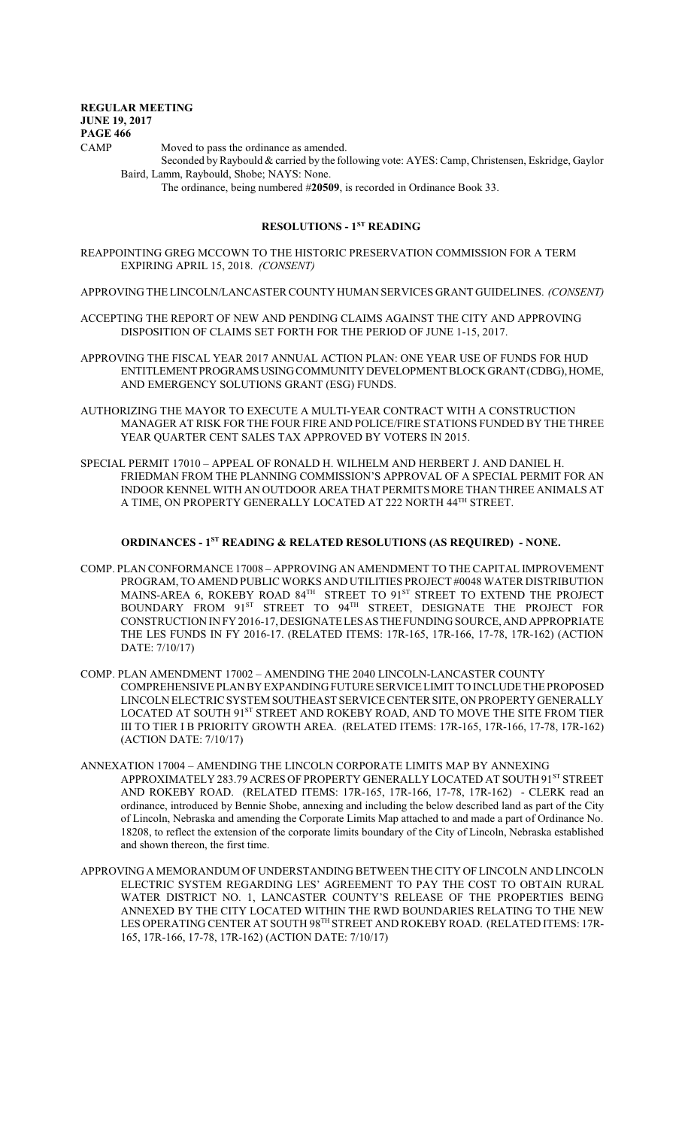CAMP Moved to pass the ordinance as amended.

Seconded by Raybould & carried by the following vote: AYES: Camp, Christensen, Eskridge, Gaylor Baird, Lamm, Raybould, Shobe; NAYS: None.

The ordinance, being numbered #**20509**, is recorded in Ordinance Book 33.

## **RESOLUTIONS - 1ST READING**

REAPPOINTING GREG MCCOWN TO THE HISTORIC PRESERVATION COMMISSION FOR A TERM EXPIRING APRIL 15, 2018. *(CONSENT)*

APPROVING THE LINCOLN/LANCASTER COUNTY HUMAN SERVICES GRANT GUIDELINES. *(CONSENT)*

ACCEPTING THE REPORT OF NEW AND PENDING CLAIMS AGAINST THE CITY AND APPROVING DISPOSITION OF CLAIMS SET FORTH FOR THE PERIOD OF JUNE 1-15, 2017.

APPROVING THE FISCAL YEAR 2017 ANNUAL ACTION PLAN: ONE YEAR USE OF FUNDS FOR HUD ENTITLEMENT PROGRAMS USING COMMUNITY DEVELOPMENT BLOCK GRANT (CDBG), HOME, AND EMERGENCY SOLUTIONS GRANT (ESG) FUNDS.

- AUTHORIZING THE MAYOR TO EXECUTE A MULTI-YEAR CONTRACT WITH A CONSTRUCTION MANAGER AT RISK FOR THE FOUR FIRE AND POLICE/FIRE STATIONS FUNDED BY THE THREE YEAR QUARTER CENT SALES TAX APPROVED BY VOTERS IN 2015.
- SPECIAL PERMIT 17010 APPEAL OF RONALD H. WILHELM AND HERBERT J. AND DANIEL H. FRIEDMAN FROM THE PLANNING COMMISSION'S APPROVAL OF A SPECIAL PERMIT FOR AN INDOOR KENNEL WITH AN OUTDOOR AREA THAT PERMITS MORE THAN THREE ANIMALS AT A TIME, ON PROPERTY GENERALLY LOCATED AT 222 NORTH 44<sup>th</sup> STREET.

#### **ORDINANCES - 1ST READING & RELATED RESOLUTIONS (AS REQUIRED) - NONE.**

- COMP. PLAN CONFORMANCE 17008 APPROVING AN AMENDMENT TO THE CAPITAL IMPROVEMENT PROGRAM, TO AMEND PUBLIC WORKS AND UTILITIES PROJECT #0048 WATER DISTRIBUTION MAINS-AREA 6, ROKEBY ROAD  $84^{\text{\tiny{TH}}}$  STREET TO  $91^{\text{\tiny{ST}}}$  STREET TO EXTEND THE PROJECT BOUNDARY FROM 91<sup>st</sup> STREET TO 94<sup>th</sup> STREET, DESIGNATE THE PROJECT FOR CONSTRUCTION IN FY 2016-17, DESIGNATELESASTHEFUNDING SOURCE, AND APPROPRIATE THE LES FUNDS IN FY 2016-17. (RELATED ITEMS: 17R-165, 17R-166, 17-78, 17R-162) (ACTION DATE: 7/10/17)
- COMP. PLAN AMENDMENT 17002 AMENDING THE 2040 LINCOLN-LANCASTER COUNTY COMPREHENSIVE PLAN BY EXPANDING FUTURE SERVICELIMIT TO INCLUDE THE PROPOSED LINCOLN ELECTRIC SYSTEM SOUTHEAST SERVICE CENTER SITE, ON PROPERTY GENERALLY LOCATED AT SOUTH 91<sup>st</sup> STREET AND ROKEBY ROAD, AND TO MOVE THE SITE FROM TIER III TO TIER I B PRIORITY GROWTH AREA. (RELATED ITEMS: 17R-165, 17R-166, 17-78, 17R-162) (ACTION DATE: 7/10/17)
- ANNEXATION 17004 AMENDING THE LINCOLN CORPORATE LIMITS MAP BY ANNEXING APPROXIMATELY 283.79 ACRES OF PROPERTY GENERALLY LOCATED AT SOUTH 91<sup>st</sup> STREET AND ROKEBY ROAD. (RELATED ITEMS: 17R-165, 17R-166, 17-78, 17R-162) - CLERK read an ordinance, introduced by Bennie Shobe, annexing and including the below described land as part of the City of Lincoln, Nebraska and amending the Corporate Limits Map attached to and made a part of Ordinance No. 18208, to reflect the extension of the corporate limits boundary of the City of Lincoln, Nebraska established and shown thereon, the first time.
- APPROVING A MEMORANDUM OF UNDERSTANDING BETWEEN THE CITY OF LINCOLN AND LINCOLN ELECTRIC SYSTEM REGARDING LES' AGREEMENT TO PAY THE COST TO OBTAIN RURAL WATER DISTRICT NO. 1, LANCASTER COUNTY'S RELEASE OF THE PROPERTIES BEING ANNEXED BY THE CITY LOCATED WITHIN THE RWD BOUNDARIES RELATING TO THE NEW LES OPERATING CENTER AT SOUTH 98<sup>th</sup> STREET AND ROKEBY ROAD. (RELATED ITEMS: 17R-165, 17R-166, 17-78, 17R-162) (ACTION DATE: 7/10/17)